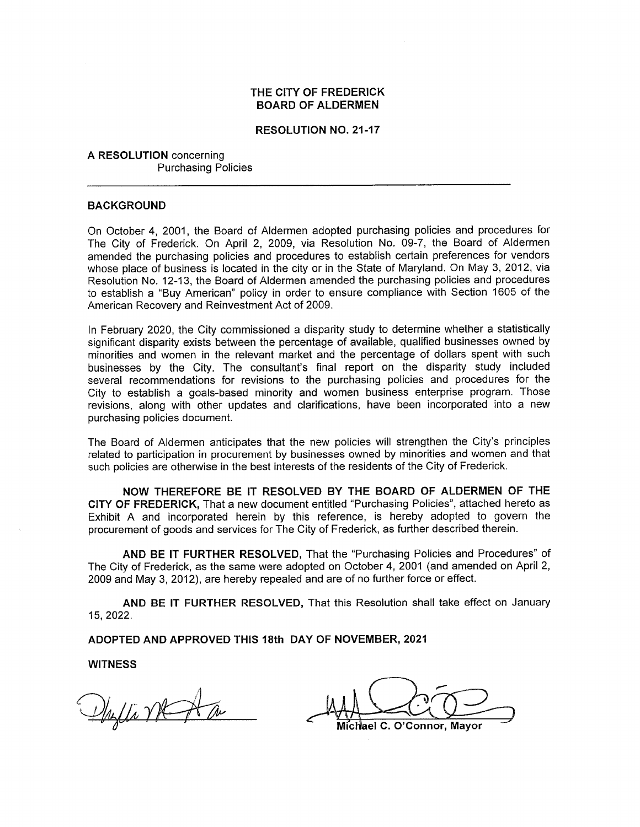#### THE CITY OF FREDERICK **BOARD OF ALDERMEN**

#### **RESOLUTION NO. 21-17**

A RESOLUTION concerning **Purchasing Policies** 

#### **BACKGROUND**

On October 4, 2001, the Board of Aldermen adopted purchasing policies and procedures for The City of Frederick. On April 2, 2009, via Resolution No. 09-7, the Board of Aldermen amended the purchasing policies and procedures to establish certain preferences for vendors whose place of business is located in the city or in the State of Maryland. On May 3, 2012, via Resolution No. 12-13, the Board of Aldermen amended the purchasing policies and procedures to establish a "Buy American" policy in order to ensure compliance with Section 1605 of the American Recovery and Reinvestment Act of 2009.

In February 2020, the City commissioned a disparity study to determine whether a statistically significant disparity exists between the percentage of available, qualified businesses owned by minorities and women in the relevant market and the percentage of dollars spent with such businesses by the City. The consultant's final report on the disparity study included several recommendations for revisions to the purchasing policies and procedures for the City to establish a goals-based minority and women business enterprise program. Those revisions, along with other updates and clarifications, have been incorporated into a new purchasing policies document.

The Board of Aldermen anticipates that the new policies will strengthen the City's principles related to participation in procurement by businesses owned by minorities and women and that such policies are otherwise in the best interests of the residents of the City of Frederick.

NOW THEREFORE BE IT RESOLVED BY THE BOARD OF ALDERMEN OF THE CITY OF FREDERICK, That a new document entitled "Purchasing Policies", attached hereto as Exhibit A and incorporated herein by this reference, is hereby adopted to govern the procurement of goods and services for The City of Frederick, as further described therein.

AND BE IT FURTHER RESOLVED, That the "Purchasing Policies and Procedures" of The City of Frederick, as the same were adopted on October 4, 2001 (and amended on April 2, 2009 and May 3, 2012), are hereby repealed and are of no further force or effect.

AND BE IT FURTHER RESOLVED, That this Resolution shall take effect on January 15, 2022.

ADOPTED AND APPROVED THIS 18th DAY OF NOVEMBER, 2021

**WITNESS** 

Phylli MCA a

Michael C. O'Connor, Mayor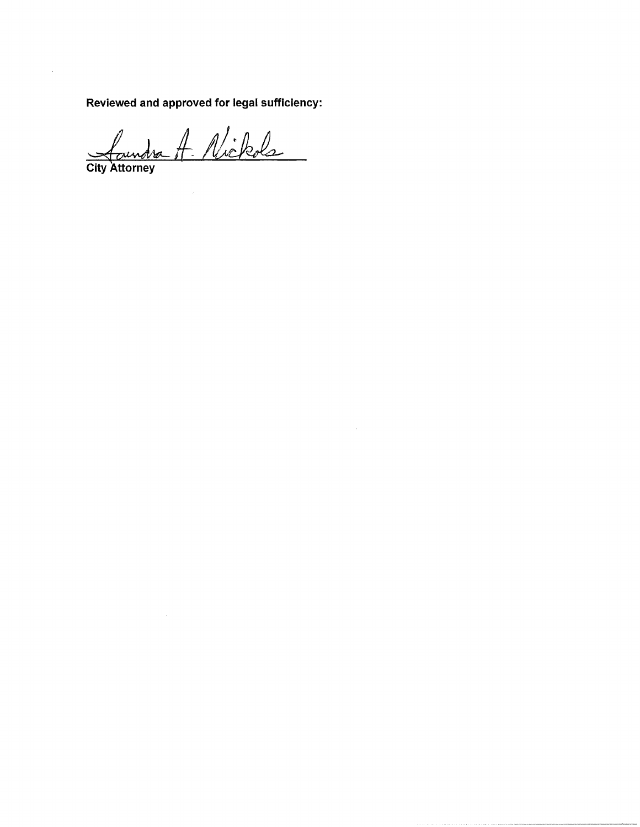Reviewed and approved for legal sufficiency:

Landra A. Nickols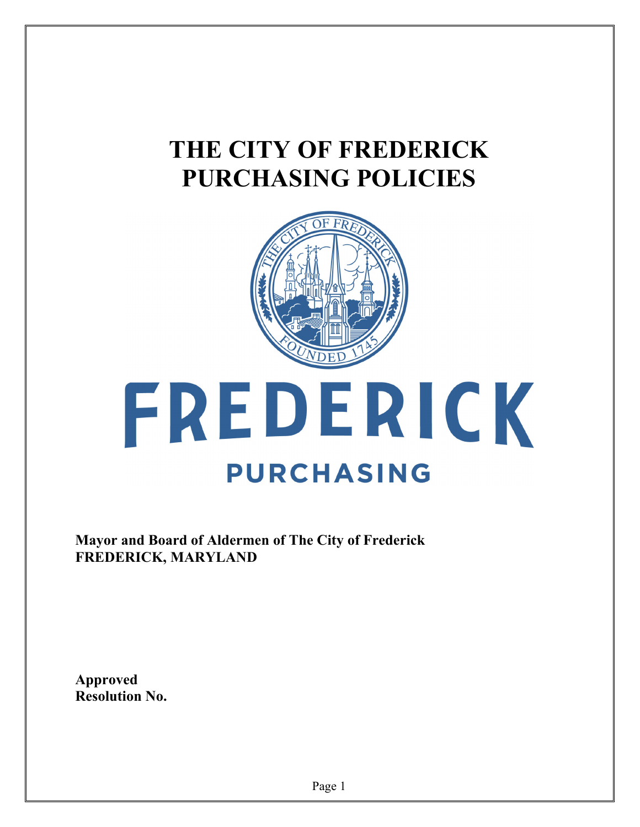## **THE CITY OF FREDERICK PURCHASING POLICIES**



# FREDERICK **PURCHASING**

**Mayor and Board of Aldermen of The City of Frederick FREDERICK, MARYLAND** 

**Approved Resolution No.**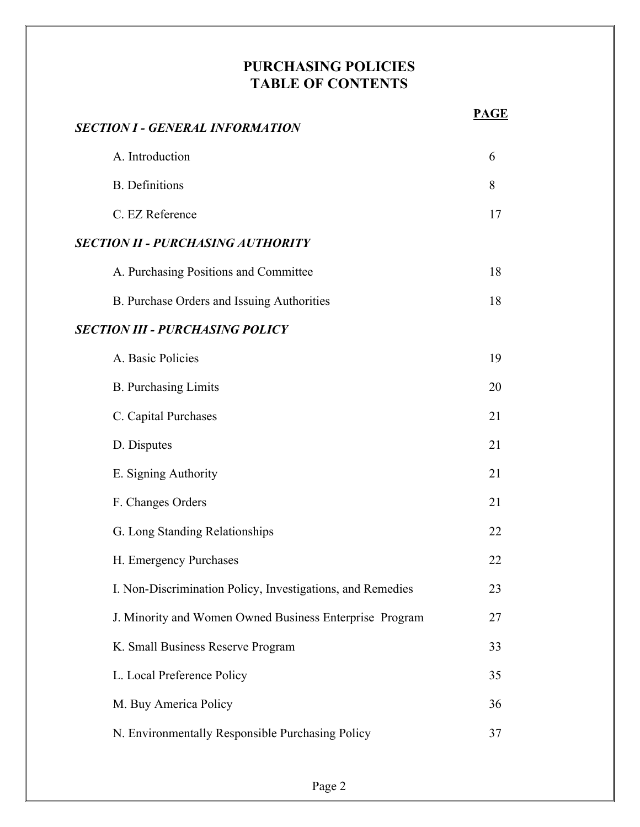#### **PURCHASING POLICIES TABLE OF CONTENTS**

| SECTION I - GENERAL INFORMATION                            | <b>PAGE</b> |
|------------------------------------------------------------|-------------|
| A. Introduction                                            | 6           |
| <b>B.</b> Definitions                                      | 8           |
| C. EZ Reference                                            | 17          |
| SECTION II - PURCHASING AUTHORITY                          |             |
| A. Purchasing Positions and Committee                      | 18          |
| B. Purchase Orders and Issuing Authorities                 | 18          |
| SECTION III - PURCHASING POLICY                            |             |
| A. Basic Policies                                          | 19          |
| <b>B.</b> Purchasing Limits                                | 20          |
| C. Capital Purchases                                       | 21          |
| D. Disputes                                                | 21          |
| E. Signing Authority                                       | 21          |
| F. Changes Orders                                          | 21          |
| G. Long Standing Relationships                             | 22          |
| H. Emergency Purchases                                     | 22          |
| I. Non-Discrimination Policy, Investigations, and Remedies | 23          |
| J. Minority and Women Owned Business Enterprise Program    | 27          |
| K. Small Business Reserve Program                          | 33          |
| L. Local Preference Policy                                 | 35          |
| M. Buy America Policy                                      | 36          |
| N. Environmentally Responsible Purchasing Policy           | 37          |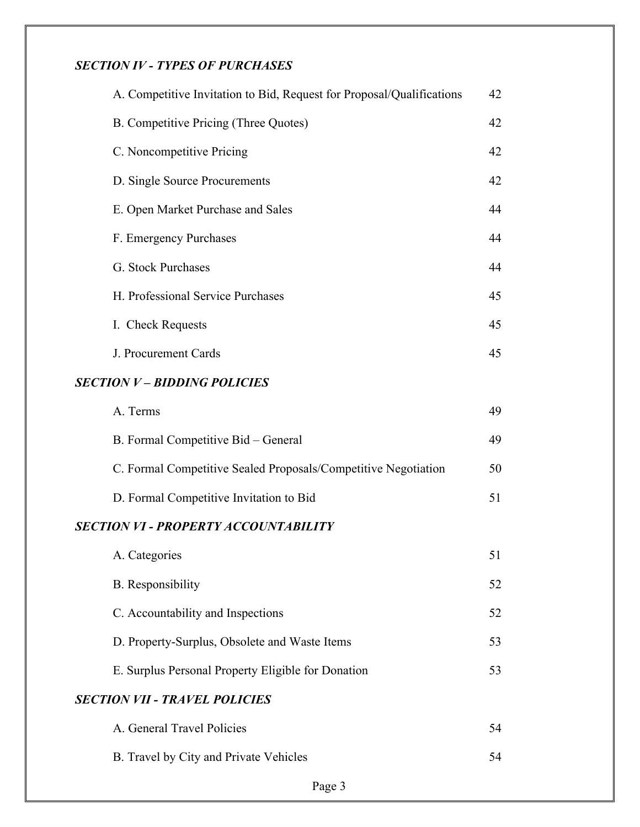#### *SECTION IV - TYPES OF PURCHASES*

| A. Competitive Invitation to Bid, Request for Proposal/Qualifications | 42 |
|-----------------------------------------------------------------------|----|
| B. Competitive Pricing (Three Quotes)                                 | 42 |
| C. Noncompetitive Pricing                                             | 42 |
| D. Single Source Procurements                                         | 42 |
| E. Open Market Purchase and Sales                                     | 44 |
| F. Emergency Purchases                                                | 44 |
| G. Stock Purchases                                                    | 44 |
| H. Professional Service Purchases                                     | 45 |
| I. Check Requests                                                     | 45 |
| J. Procurement Cards                                                  | 45 |
| <b>SECTION V - BIDDING POLICIES</b>                                   |    |
| A. Terms                                                              | 49 |
| B. Formal Competitive Bid - General                                   | 49 |
| C. Formal Competitive Sealed Proposals/Competitive Negotiation        | 50 |
| D. Formal Competitive Invitation to Bid                               | 51 |
| <b>SECTION VI - PROPERTY ACCOUNTABILITY</b>                           |    |
| A. Categories                                                         | 51 |
| <b>B.</b> Responsibility                                              | 52 |
| C. Accountability and Inspections                                     | 52 |
| D. Property-Surplus, Obsolete and Waste Items                         | 53 |
| E. Surplus Personal Property Eligible for Donation                    | 53 |
| <b>SECTION VII - TRAVEL POLICIES</b>                                  |    |
| A. General Travel Policies                                            | 54 |
| B. Travel by City and Private Vehicles                                | 54 |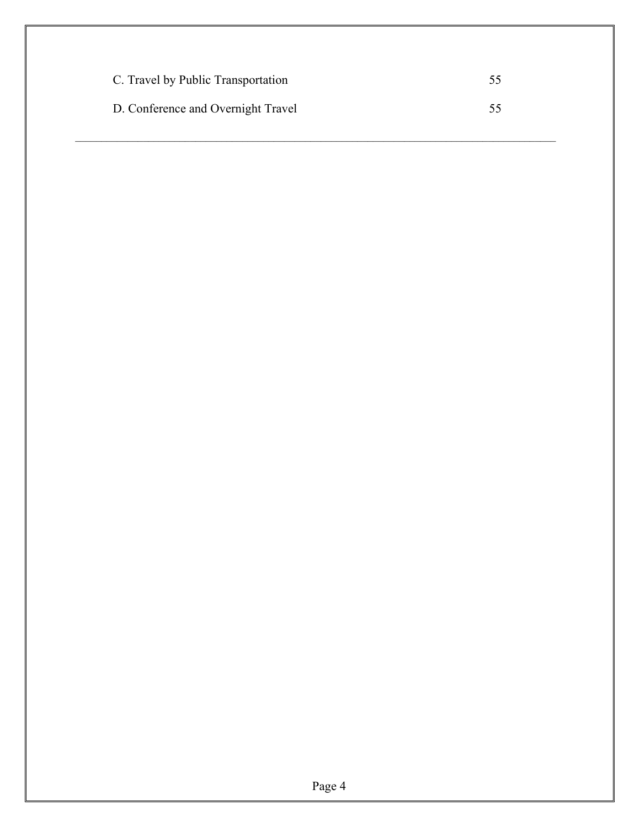| C. Travel by Public Transportation |    |
|------------------------------------|----|
| D. Conference and Overnight Travel | 55 |

 $\mathcal{L}_\mathcal{L} = \mathcal{L}_\mathcal{L}$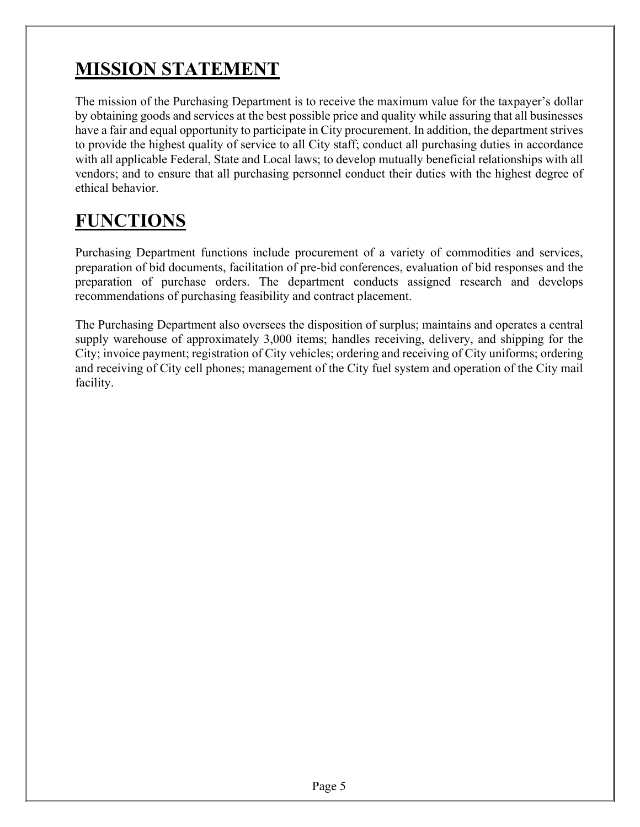## **MISSION STATEMENT**

The mission of the Purchasing Department is to receive the maximum value for the taxpayer's dollar by obtaining goods and services at the best possible price and quality while assuring that all businesses have a fair and equal opportunity to participate in City procurement. In addition, the department strives to provide the highest quality of service to all City staff; conduct all purchasing duties in accordance with all applicable Federal, State and Local laws; to develop mutually beneficial relationships with all vendors; and to ensure that all purchasing personnel conduct their duties with the highest degree of ethical behavior.

## **FUNCTIONS**

Purchasing Department functions include procurement of a variety of commodities and services, preparation of bid documents, facilitation of pre-bid conferences, evaluation of bid responses and the preparation of purchase orders. The department conducts assigned research and develops recommendations of purchasing feasibility and contract placement.

The Purchasing Department also oversees the disposition of surplus; maintains and operates a central supply warehouse of approximately 3,000 items; handles receiving, delivery, and shipping for the City; invoice payment; registration of City vehicles; ordering and receiving of City uniforms; ordering and receiving of City cell phones; management of the City fuel system and operation of the City mail facility.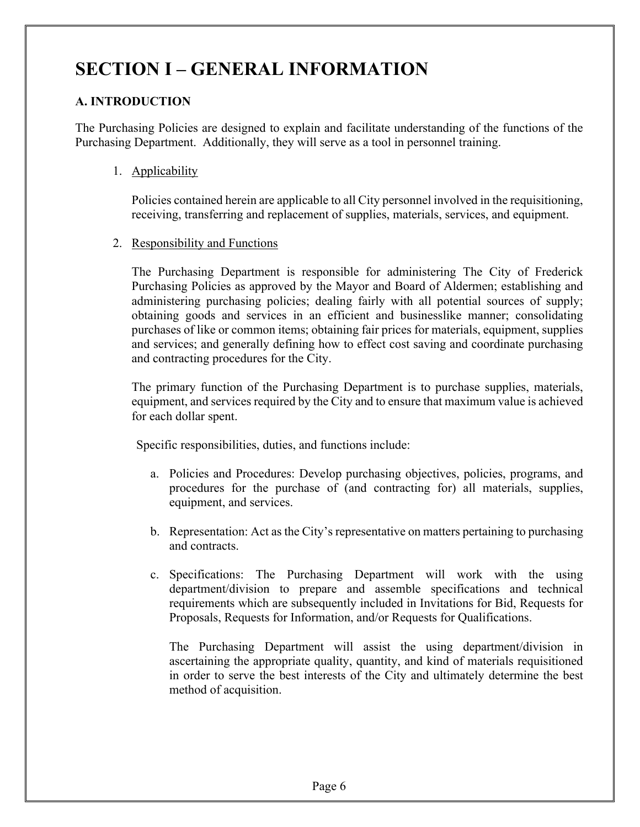## **SECTION I – GENERAL INFORMATION**

#### **A. INTRODUCTION**

The Purchasing Policies are designed to explain and facilitate understanding of the functions of the Purchasing Department. Additionally, they will serve as a tool in personnel training.

1. Applicability

Policies contained herein are applicable to all City personnel involved in the requisitioning, receiving, transferring and replacement of supplies, materials, services, and equipment.

2. Responsibility and Functions

The Purchasing Department is responsible for administering The City of Frederick Purchasing Policies as approved by the Mayor and Board of Aldermen; establishing and administering purchasing policies; dealing fairly with all potential sources of supply; obtaining goods and services in an efficient and businesslike manner; consolidating purchases of like or common items; obtaining fair prices for materials, equipment, supplies and services; and generally defining how to effect cost saving and coordinate purchasing and contracting procedures for the City.

The primary function of the Purchasing Department is to purchase supplies, materials, equipment, and services required by the City and to ensure that maximum value is achieved for each dollar spent.

Specific responsibilities, duties, and functions include:

- a. Policies and Procedures: Develop purchasing objectives, policies, programs, and procedures for the purchase of (and contracting for) all materials, supplies, equipment, and services.
- b. Representation: Act as the City's representative on matters pertaining to purchasing and contracts.
- c. Specifications: The Purchasing Department will work with the using department/division to prepare and assemble specifications and technical requirements which are subsequently included in Invitations for Bid, Requests for Proposals, Requests for Information, and/or Requests for Qualifications.

 The Purchasing Department will assist the using department/division in ascertaining the appropriate quality, quantity, and kind of materials requisitioned in order to serve the best interests of the City and ultimately determine the best method of acquisition.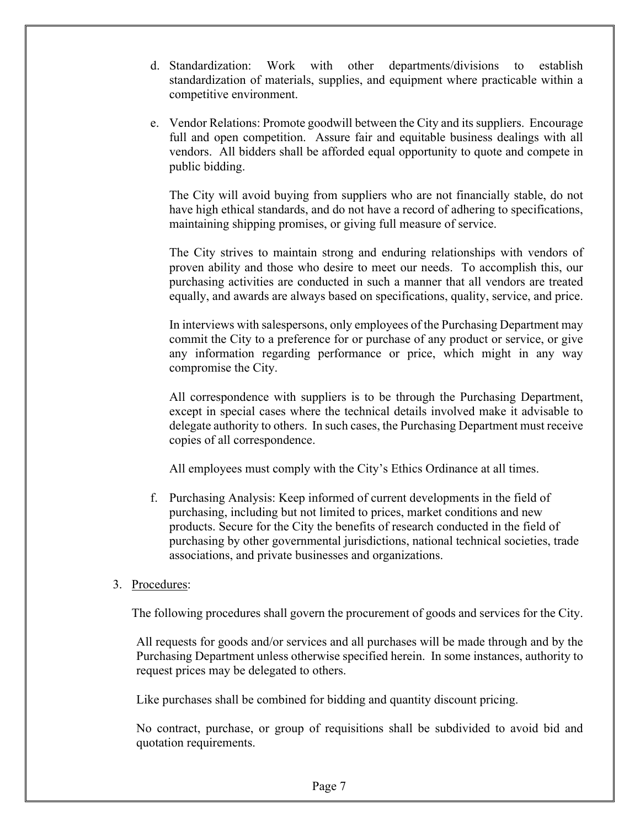- d. Standardization: Work with other departments/divisions to establish standardization of materials, supplies, and equipment where practicable within a competitive environment.
- e. Vendor Relations: Promote goodwill between the City and its suppliers. Encourage full and open competition. Assure fair and equitable business dealings with all vendors. All bidders shall be afforded equal opportunity to quote and compete in public bidding.

 The City will avoid buying from suppliers who are not financially stable, do not have high ethical standards, and do not have a record of adhering to specifications, maintaining shipping promises, or giving full measure of service.

 The City strives to maintain strong and enduring relationships with vendors of proven ability and those who desire to meet our needs. To accomplish this, our purchasing activities are conducted in such a manner that all vendors are treated equally, and awards are always based on specifications, quality, service, and price.

 In interviews with salespersons, only employees of the Purchasing Department may commit the City to a preference for or purchase of any product or service, or give any information regarding performance or price, which might in any way compromise the City.

 All correspondence with suppliers is to be through the Purchasing Department, except in special cases where the technical details involved make it advisable to delegate authority to others. In such cases, the Purchasing Department must receive copies of all correspondence.

All employees must comply with the City's Ethics Ordinance at all times.

f. Purchasing Analysis: Keep informed of current developments in the field of purchasing, including but not limited to prices, market conditions and new products. Secure for the City the benefits of research conducted in the field of purchasing by other governmental jurisdictions, national technical societies, trade associations, and private businesses and organizations.

#### 3. Procedures:

The following procedures shall govern the procurement of goods and services for the City.

 All requests for goods and/or services and all purchases will be made through and by the Purchasing Department unless otherwise specified herein. In some instances, authority to request prices may be delegated to others.

Like purchases shall be combined for bidding and quantity discount pricing.

 No contract, purchase, or group of requisitions shall be subdivided to avoid bid and quotation requirements.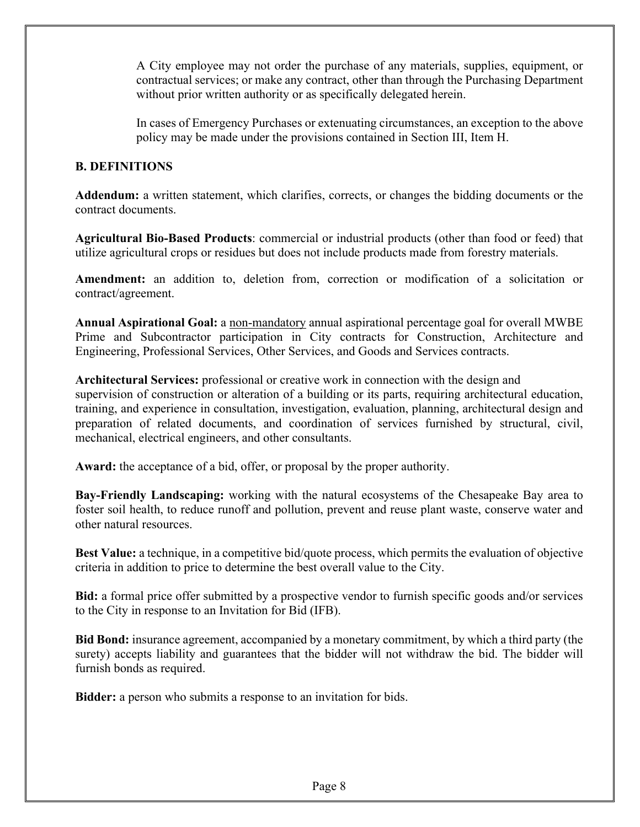A City employee may not order the purchase of any materials, supplies, equipment, or contractual services; or make any contract, other than through the Purchasing Department without prior written authority or as specifically delegated herein.

In cases of Emergency Purchases or extenuating circumstances, an exception to the above policy may be made under the provisions contained in Section III, Item H.

#### **B. DEFINITIONS**

 **Addendum:** a written statement, which clarifies, corrects, or changes the bidding documents or the contract documents.

**Agricultural Bio-Based Products**: commercial or industrial products (other than food or feed) that utilize agricultural crops or residues but does not include products made from forestry materials.

**Amendment:** an addition to, deletion from, correction or modification of a solicitation or contract/agreement.

**Annual Aspirational Goal:** a non-mandatory annual aspirational percentage goal for overall MWBE Prime and Subcontractor participation in City contracts for Construction, Architecture and Engineering, Professional Services, Other Services, and Goods and Services contracts.

**Architectural Services:** professional or creative work in connection with the design and supervision of construction or alteration of a building or its parts, requiring architectural education, training, and experience in consultation, investigation, evaluation, planning, architectural design and preparation of related documents, and coordination of services furnished by structural, civil, mechanical, electrical engineers, and other consultants.

**Award:** the acceptance of a bid, offer, or proposal by the proper authority.

**Bay-Friendly Landscaping:** working with the natural ecosystems of the Chesapeake Bay area to foster soil health, to reduce runoff and pollution, prevent and reuse plant waste, conserve water and other natural resources.

**Best Value:** a technique, in a competitive bid/quote process, which permits the evaluation of objective criteria in addition to price to determine the best overall value to the City.

**Bid:** a formal price offer submitted by a prospective vendor to furnish specific goods and/or services to the City in response to an Invitation for Bid (IFB).

**Bid Bond:** insurance agreement, accompanied by a monetary commitment, by which a third party (the surety) accepts liability and guarantees that the bidder will not withdraw the bid. The bidder will furnish bonds as required.

**Bidder:** a person who submits a response to an invitation for bids.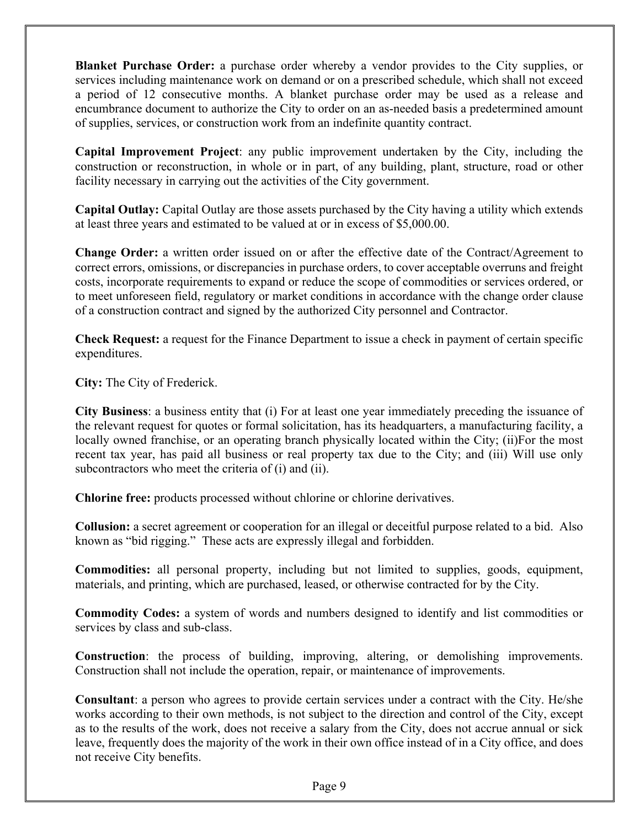**Blanket Purchase Order:** a purchase order whereby a vendor provides to the City supplies, or services including maintenance work on demand or on a prescribed schedule, which shall not exceed a period of 12 consecutive months. A blanket purchase order may be used as a release and encumbrance document to authorize the City to order on an as-needed basis a predetermined amount of supplies, services, or construction work from an indefinite quantity contract.

**Capital Improvement Project**: any public improvement undertaken by the City, including the construction or reconstruction, in whole or in part, of any building, plant, structure, road or other facility necessary in carrying out the activities of the City government.

**Capital Outlay:** Capital Outlay are those assets purchased by the City having a utility which extends at least three years and estimated to be valued at or in excess of \$5,000.00.

**Change Order:** a written order issued on or after the effective date of the Contract/Agreement to correct errors, omissions, or discrepancies in purchase orders, to cover acceptable overruns and freight costs, incorporate requirements to expand or reduce the scope of commodities or services ordered, or to meet unforeseen field, regulatory or market conditions in accordance with the change order clause of a construction contract and signed by the authorized City personnel and Contractor.

**Check Request:** a request for the Finance Department to issue a check in payment of certain specific expenditures.

**City:** The City of Frederick.

**City Business**: a business entity that (i) For at least one year immediately preceding the issuance of the relevant request for quotes or formal solicitation, has its headquarters, a manufacturing facility, a locally owned franchise, or an operating branch physically located within the City; (ii)For the most recent tax year, has paid all business or real property tax due to the City; and (iii) Will use only subcontractors who meet the criteria of (i) and (ii).

**Chlorine free:** products processed without chlorine or chlorine derivatives.

**Collusion:** a secret agreement or cooperation for an illegal or deceitful purpose related to a bid. Also known as "bid rigging." These acts are expressly illegal and forbidden.

**Commodities:** all personal property, including but not limited to supplies, goods, equipment, materials, and printing, which are purchased, leased, or otherwise contracted for by the City.

**Commodity Codes:** a system of words and numbers designed to identify and list commodities or services by class and sub-class.

**Construction**: the process of building, improving, altering, or demolishing improvements. Construction shall not include the operation, repair, or maintenance of improvements.

**Consultant**: a person who agrees to provide certain services under a contract with the City. He/she works according to their own methods, is not subject to the direction and control of the City, except as to the results of the work, does not receive a salary from the City, does not accrue annual or sick leave, frequently does the majority of the work in their own office instead of in a City office, and does not receive City benefits.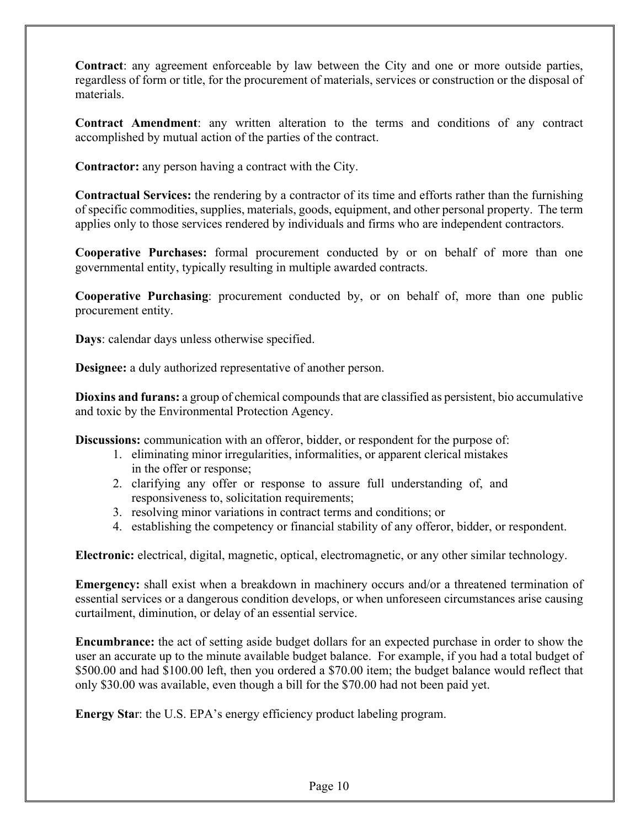**Contract**: any agreement enforceable by law between the City and one or more outside parties, regardless of form or title, for the procurement of materials, services or construction or the disposal of materials.

**Contract Amendment**: any written alteration to the terms and conditions of any contract accomplished by mutual action of the parties of the contract.

**Contractor:** any person having a contract with the City.

**Contractual Services:** the rendering by a contractor of its time and efforts rather than the furnishing of specific commodities, supplies, materials, goods, equipment, and other personal property. The term applies only to those services rendered by individuals and firms who are independent contractors.

**Cooperative Purchases:** formal procurement conducted by or on behalf of more than one governmental entity, typically resulting in multiple awarded contracts.

**Cooperative Purchasing**: procurement conducted by, or on behalf of, more than one public procurement entity.

**Days**: calendar days unless otherwise specified.

**Designee:** a duly authorized representative of another person.

**Dioxins and furans:** a group of chemical compounds that are classified as persistent, bio accumulative and toxic by the Environmental Protection Agency.

**Discussions:** communication with an offeror, bidder, or respondent for the purpose of:

- 1. eliminating minor irregularities, informalities, or apparent clerical mistakes in the offer or response;
- 2. clarifying any offer or response to assure full understanding of, and responsiveness to, solicitation requirements;
- 3. resolving minor variations in contract terms and conditions; or
- 4. establishing the competency or financial stability of any offeror, bidder, or respondent.

**Electronic:** electrical, digital, magnetic, optical, electromagnetic, or any other similar technology.

**Emergency:** shall exist when a breakdown in machinery occurs and/or a threatened termination of essential services or a dangerous condition develops, or when unforeseen circumstances arise causing curtailment, diminution, or delay of an essential service.

**Encumbrance:** the act of setting aside budget dollars for an expected purchase in order to show the user an accurate up to the minute available budget balance. For example, if you had a total budget of \$500.00 and had \$100.00 left, then you ordered a \$70.00 item; the budget balance would reflect that only \$30.00 was available, even though a bill for the \$70.00 had not been paid yet.

**Energy Sta**r: the U.S. EPA's energy efficiency product labeling program.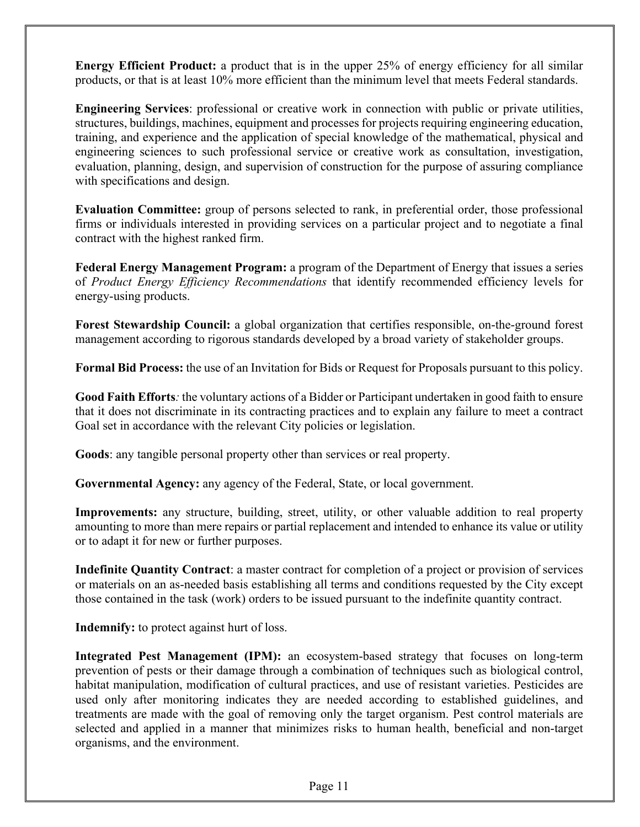**Energy Efficient Product:** a product that is in the upper 25% of energy efficiency for all similar products, or that is at least 10% more efficient than the minimum level that meets Federal standards.

**Engineering Services**: professional or creative work in connection with public or private utilities, structures, buildings, machines, equipment and processes for projects requiring engineering education, training, and experience and the application of special knowledge of the mathematical, physical and engineering sciences to such professional service or creative work as consultation, investigation, evaluation, planning, design, and supervision of construction for the purpose of assuring compliance with specifications and design.

**Evaluation Committee:** group of persons selected to rank, in preferential order, those professional firms or individuals interested in providing services on a particular project and to negotiate a final contract with the highest ranked firm.

**Federal Energy Management Program:** a program of the Department of Energy that issues a series of *Product Energy Efficiency Recommendations* that identify recommended efficiency levels for energy-using products.

**Forest Stewardship Council:** a global organization that certifies responsible, on-the-ground forest management according to rigorous standards developed by a broad variety of stakeholder groups.

**Formal Bid Process:** the use of an Invitation for Bids or Request for Proposals pursuant to this policy.

**Good Faith Efforts***:* the voluntary actions of a Bidder or Participant undertaken in good faith to ensure that it does not discriminate in its contracting practices and to explain any failure to meet a contract Goal set in accordance with the relevant City policies or legislation.

**Goods**: any tangible personal property other than services or real property.

**Governmental Agency:** any agency of the Federal, State, or local government.

**Improvements:** any structure, building, street, utility, or other valuable addition to real property amounting to more than mere repairs or partial replacement and intended to enhance its value or utility or to adapt it for new or further purposes.

**Indefinite Quantity Contract**: a master contract for completion of a project or provision of services or materials on an as-needed basis establishing all terms and conditions requested by the City except those contained in the task (work) orders to be issued pursuant to the indefinite quantity contract.

**Indemnify:** to protect against hurt of loss.

**Integrated Pest Management (IPM):** an ecosystem-based strategy that focuses on long-term prevention of pests or their damage through a combination of techniques such as biological control, habitat manipulation, modification of cultural practices, and use of resistant varieties. Pesticides are used only after monitoring indicates they are needed according to established guidelines, and treatments are made with the goal of removing only the target organism. Pest control materials are selected and applied in a manner that minimizes risks to human health, beneficial and non-target organisms, and the environment.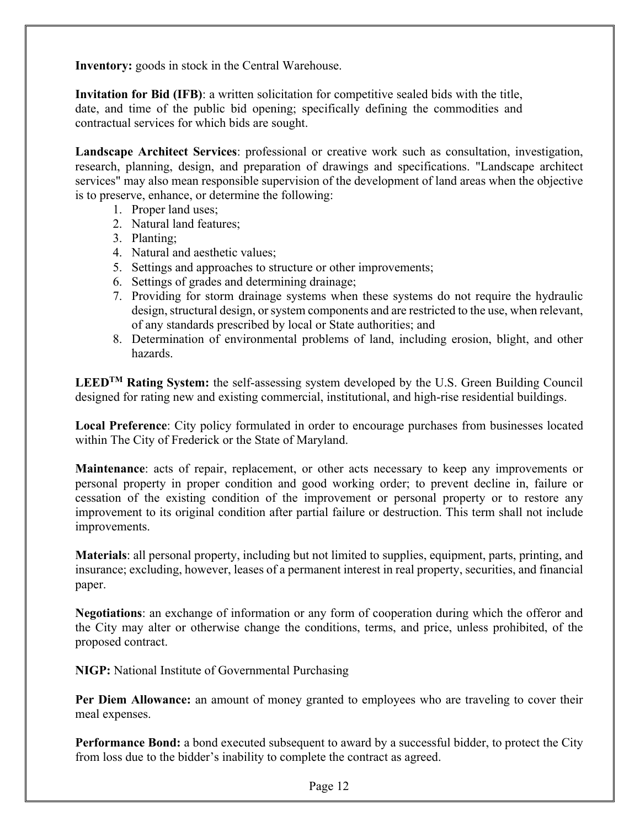**Inventory:** goods in stock in the Central Warehouse.

**Invitation for Bid (IFB)**: a written solicitation for competitive sealed bids with the title, date, and time of the public bid opening; specifically defining the commodities and contractual services for which bids are sought.

**Landscape Architect Services**: professional or creative work such as consultation, investigation, research, planning, design, and preparation of drawings and specifications. "Landscape architect services" may also mean responsible supervision of the development of land areas when the objective is to preserve, enhance, or determine the following:

- 1. Proper land uses;
- 2. Natural land features;
- 3. Planting;
- 4. Natural and aesthetic values;
- 5. Settings and approaches to structure or other improvements;
- 6. Settings of grades and determining drainage;
- 7. Providing for storm drainage systems when these systems do not require the hydraulic design, structural design, or system components and are restricted to the use, when relevant, of any standards prescribed by local or State authorities; and
- 8. Determination of environmental problems of land, including erosion, blight, and other hazards.

 **LEEDTM Rating System:** the self-assessing system developed by the U.S. Green Building Council designed for rating new and existing commercial, institutional, and high-rise residential buildings.

**Local Preference**: City policy formulated in order to encourage purchases from businesses located within The City of Frederick or the State of Maryland.

**Maintenance**: acts of repair, replacement, or other acts necessary to keep any improvements or personal property in proper condition and good working order; to prevent decline in, failure or cessation of the existing condition of the improvement or personal property or to restore any improvement to its original condition after partial failure or destruction. This term shall not include improvements.

**Materials**: all personal property, including but not limited to supplies, equipment, parts, printing, and insurance; excluding, however, leases of a permanent interest in real property, securities, and financial paper.

**Negotiations**: an exchange of information or any form of cooperation during which the offeror and the City may alter or otherwise change the conditions, terms, and price, unless prohibited, of the proposed contract.

**NIGP:** National Institute of Governmental Purchasing

**Per Diem Allowance:** an amount of money granted to employees who are traveling to cover their meal expenses.

**Performance Bond:** a bond executed subsequent to award by a successful bidder, to protect the City from loss due to the bidder's inability to complete the contract as agreed.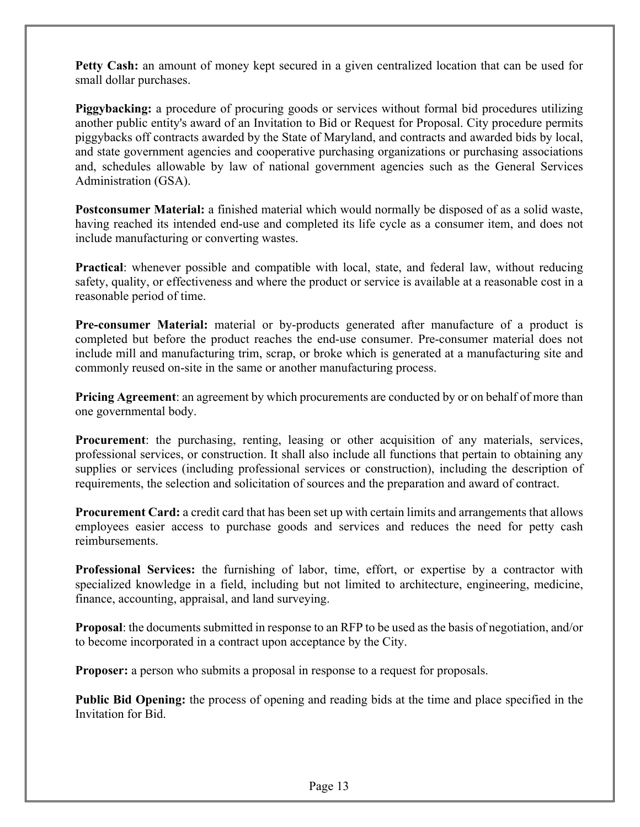**Petty Cash:** an amount of money kept secured in a given centralized location that can be used for small dollar purchases.

**Piggybacking:** a procedure of procuring goods or services without formal bid procedures utilizing another public entity's award of an Invitation to Bid or Request for Proposal. City procedure permits piggybacks off contracts awarded by the State of Maryland, and contracts and awarded bids by local, and state government agencies and cooperative purchasing organizations or purchasing associations and, schedules allowable by law of national government agencies such as the General Services Administration (GSA).

**Postconsumer Material:** a finished material which would normally be disposed of as a solid waste, having reached its intended end-use and completed its life cycle as a consumer item, and does not include manufacturing or converting wastes.

**Practical**: whenever possible and compatible with local, state, and federal law, without reducing safety, quality, or effectiveness and where the product or service is available at a reasonable cost in a reasonable period of time.

**Pre-consumer Material:** material or by-products generated after manufacture of a product is completed but before the product reaches the end-use consumer. Pre-consumer material does not include mill and manufacturing trim, scrap, or broke which is generated at a manufacturing site and commonly reused on-site in the same or another manufacturing process.

**Pricing Agreement**: an agreement by which procurements are conducted by or on behalf of more than one governmental body.

**Procurement**: the purchasing, renting, leasing or other acquisition of any materials, services, professional services, or construction. It shall also include all functions that pertain to obtaining any supplies or services (including professional services or construction), including the description of requirements, the selection and solicitation of sources and the preparation and award of contract.

**Procurement Card:** a credit card that has been set up with certain limits and arrangements that allows employees easier access to purchase goods and services and reduces the need for petty cash reimbursements.

**Professional Services:** the furnishing of labor, time, effort, or expertise by a contractor with specialized knowledge in a field, including but not limited to architecture, engineering, medicine, finance, accounting, appraisal, and land surveying.

**Proposal**: the documents submitted in response to an RFP to be used as the basis of negotiation, and/or to become incorporated in a contract upon acceptance by the City.

**Proposer:** a person who submits a proposal in response to a request for proposals.

**Public Bid Opening:** the process of opening and reading bids at the time and place specified in the Invitation for Bid.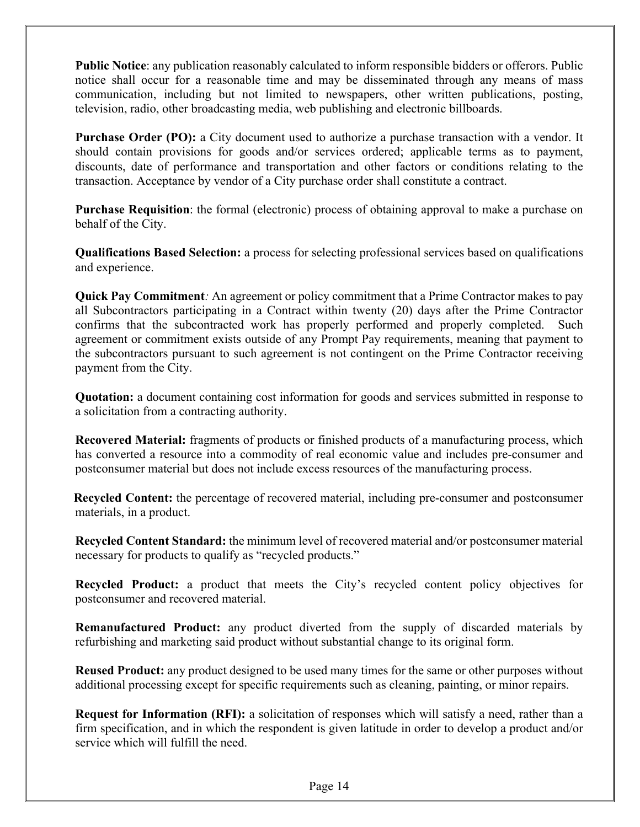**Public Notice**: any publication reasonably calculated to inform responsible bidders or offerors. Public notice shall occur for a reasonable time and may be disseminated through any means of mass communication, including but not limited to newspapers, other written publications, posting, television, radio, other broadcasting media, web publishing and electronic billboards.

**Purchase Order (PO):** a City document used to authorize a purchase transaction with a vendor. It should contain provisions for goods and/or services ordered; applicable terms as to payment, discounts, date of performance and transportation and other factors or conditions relating to the transaction. Acceptance by vendor of a City purchase order shall constitute a contract.

**Purchase Requisition**: the formal (electronic) process of obtaining approval to make a purchase on behalf of the City.

**Qualifications Based Selection:** a process for selecting professional services based on qualifications and experience.

**Quick Pay Commitment***:* An agreement or policy commitment that a Prime Contractor makes to pay all Subcontractors participating in a Contract within twenty (20) days after the Prime Contractor confirms that the subcontracted work has properly performed and properly completed. Such agreement or commitment exists outside of any Prompt Pay requirements, meaning that payment to the subcontractors pursuant to such agreement is not contingent on the Prime Contractor receiving payment from the City.

**Quotation:** a document containing cost information for goods and services submitted in response to a solicitation from a contracting authority.

**Recovered Material:** fragments of products or finished products of a manufacturing process, which has converted a resource into a commodity of real economic value and includes pre-consumer and postconsumer material but does not include excess resources of the manufacturing process.

**Recycled Content:** the percentage of recovered material, including pre-consumer and postconsumer materials, in a product.

**Recycled Content Standard:** the minimum level of recovered material and/or postconsumer material necessary for products to qualify as "recycled products."

**Recycled Product:** a product that meets the City's recycled content policy objectives for postconsumer and recovered material.

**Remanufactured Product:** any product diverted from the supply of discarded materials by refurbishing and marketing said product without substantial change to its original form.

**Reused Product:** any product designed to be used many times for the same or other purposes without additional processing except for specific requirements such as cleaning, painting, or minor repairs.

**Request for Information (RFI):** a solicitation of responses which will satisfy a need, rather than a firm specification, and in which the respondent is given latitude in order to develop a product and/or service which will fulfill the need.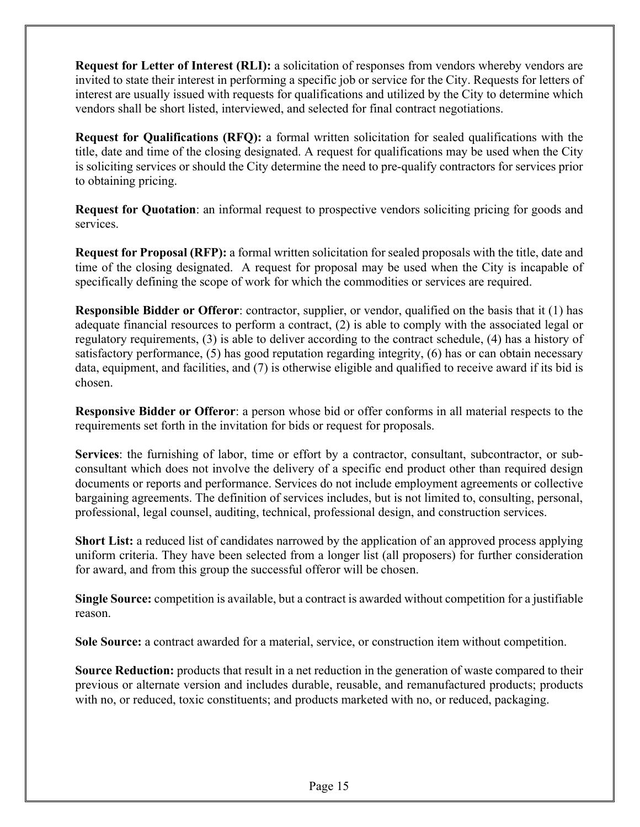**Request for Letter of Interest (RLI):** a solicitation of responses from vendors whereby vendors are invited to state their interest in performing a specific job or service for the City. Requests for letters of interest are usually issued with requests for qualifications and utilized by the City to determine which vendors shall be short listed, interviewed, and selected for final contract negotiations.

**Request for Qualifications (RFQ):** a formal written solicitation for sealed qualifications with the title, date and time of the closing designated. A request for qualifications may be used when the City is soliciting services or should the City determine the need to pre-qualify contractors for services prior to obtaining pricing.

**Request for Quotation**: an informal request to prospective vendors soliciting pricing for goods and services.

**Request for Proposal (RFP):** a formal written solicitation for sealed proposals with the title, date and time of the closing designated. A request for proposal may be used when the City is incapable of specifically defining the scope of work for which the commodities or services are required.

**Responsible Bidder or Offeror**: contractor, supplier, or vendor, qualified on the basis that it (1) has adequate financial resources to perform a contract, (2) is able to comply with the associated legal or regulatory requirements, (3) is able to deliver according to the contract schedule, (4) has a history of satisfactory performance, (5) has good reputation regarding integrity, (6) has or can obtain necessary data, equipment, and facilities, and (7) is otherwise eligible and qualified to receive award if its bid is chosen.

**Responsive Bidder or Offeror**: a person whose bid or offer conforms in all material respects to the requirements set forth in the invitation for bids or request for proposals.

**Services**: the furnishing of labor, time or effort by a contractor, consultant, subcontractor, or subconsultant which does not involve the delivery of a specific end product other than required design documents or reports and performance. Services do not include employment agreements or collective bargaining agreements. The definition of services includes, but is not limited to, consulting, personal, professional, legal counsel, auditing, technical, professional design, and construction services.

**Short List:** a reduced list of candidates narrowed by the application of an approved process applying uniform criteria. They have been selected from a longer list (all proposers) for further consideration for award, and from this group the successful offeror will be chosen.

**Single Source:** competition is available, but a contract is awarded without competition for a justifiable reason.

**Sole Source:** a contract awarded for a material, service, or construction item without competition.

**Source Reduction:** products that result in a net reduction in the generation of waste compared to their previous or alternate version and includes durable, reusable, and remanufactured products; products with no, or reduced, toxic constituents; and products marketed with no, or reduced, packaging.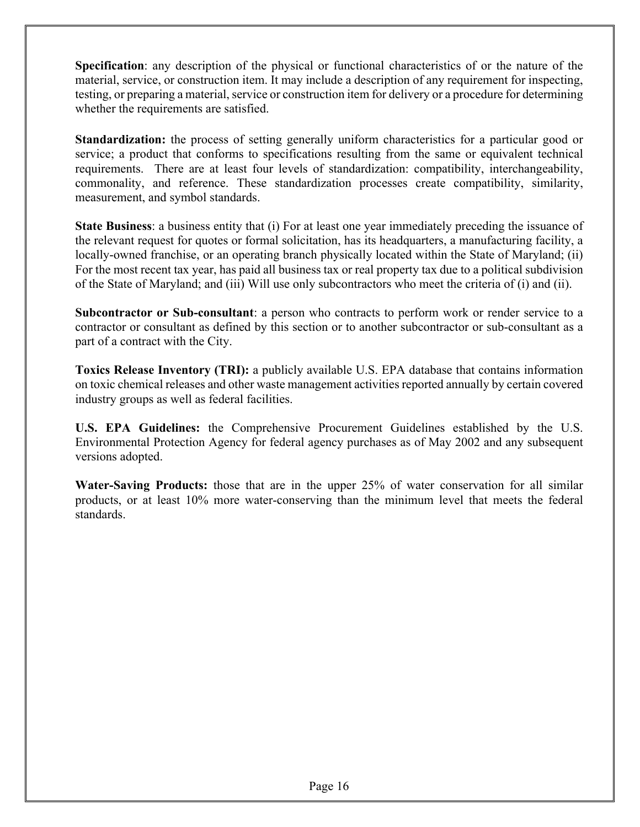**Specification**: any description of the physical or functional characteristics of or the nature of the material, service, or construction item. It may include a description of any requirement for inspecting, testing, or preparing a material, service or construction item for delivery or a procedure for determining whether the requirements are satisfied.

**Standardization:** the process of setting generally uniform characteristics for a particular good or service; a product that conforms to specifications resulting from the same or equivalent technical requirements. There are at least four levels of standardization: compatibility, interchangeability, commonality, and reference. These standardization processes create compatibility, similarity, measurement, and symbol standards.

**State Business**: a business entity that (i) For at least one year immediately preceding the issuance of the relevant request for quotes or formal solicitation, has its headquarters, a manufacturing facility, a locally-owned franchise, or an operating branch physically located within the State of Maryland; (ii) For the most recent tax year, has paid all business tax or real property tax due to a political subdivision of the State of Maryland; and (iii) Will use only subcontractors who meet the criteria of (i) and (ii).

**Subcontractor or Sub-consultant**: a person who contracts to perform work or render service to a contractor or consultant as defined by this section or to another subcontractor or sub-consultant as a part of a contract with the City.

**Toxics Release Inventory (TRI):** a publicly available U.S. EPA database that contains information on toxic chemical releases and other waste management activities reported annually by certain covered industry groups as well as federal facilities.

**U.S. EPA Guidelines:** the Comprehensive Procurement Guidelines established by the U.S. Environmental Protection Agency for federal agency purchases as of May 2002 and any subsequent versions adopted.

**Water-Saving Products:** those that are in the upper 25% of water conservation for all similar products, or at least 10% more water-conserving than the minimum level that meets the federal standards.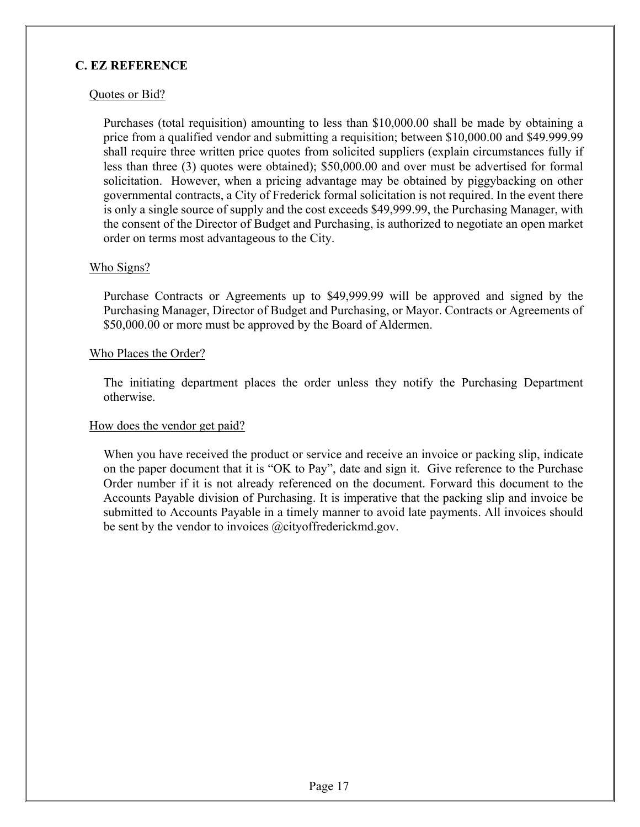#### **C. EZ REFERENCE**

#### Quotes or Bid?

Purchases (total requisition) amounting to less than \$10,000.00 shall be made by obtaining a price from a qualified vendor and submitting a requisition; between \$10,000.00 and \$49.999.99 shall require three written price quotes from solicited suppliers (explain circumstances fully if less than three (3) quotes were obtained); \$50,000.00 and over must be advertised for formal solicitation. However, when a pricing advantage may be obtained by piggybacking on other governmental contracts, a City of Frederick formal solicitation is not required. In the event there is only a single source of supply and the cost exceeds \$49,999.99, the Purchasing Manager, with the consent of the Director of Budget and Purchasing, is authorized to negotiate an open market order on terms most advantageous to the City.

#### Who Signs?

Purchase Contracts or Agreements up to \$49,999.99 will be approved and signed by the Purchasing Manager, Director of Budget and Purchasing, or Mayor. Contracts or Agreements of \$50,000.00 or more must be approved by the Board of Aldermen.

#### Who Places the Order?

The initiating department places the order unless they notify the Purchasing Department otherwise.

#### How does the vendor get paid?

When you have received the product or service and receive an invoice or packing slip, indicate on the paper document that it is "OK to Pay", date and sign it. Give reference to the Purchase Order number if it is not already referenced on the document. Forward this document to the Accounts Payable division of Purchasing. It is imperative that the packing slip and invoice be submitted to Accounts Payable in a timely manner to avoid late payments. All invoices should be sent by the vendor to invoices @cityoffrederickmd.gov.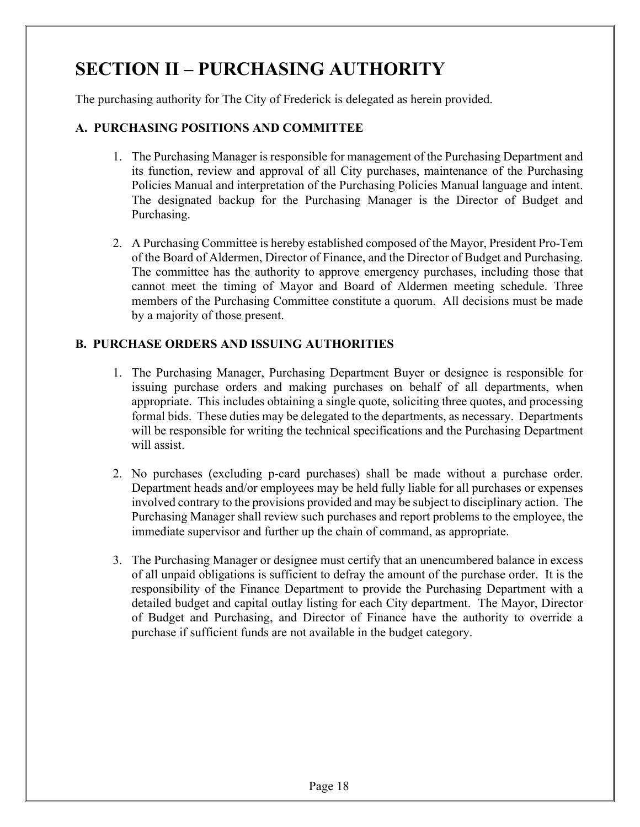## **SECTION II – PURCHASING AUTHORITY**

The purchasing authority for The City of Frederick is delegated as herein provided.

#### **A. PURCHASING POSITIONS AND COMMITTEE**

- 1. The Purchasing Manager is responsible for management of the Purchasing Department and its function, review and approval of all City purchases, maintenance of the Purchasing Policies Manual and interpretation of the Purchasing Policies Manual language and intent. The designated backup for the Purchasing Manager is the Director of Budget and Purchasing.
- 2. A Purchasing Committee is hereby established composed of the Mayor, President Pro-Tem of the Board of Aldermen, Director of Finance, and the Director of Budget and Purchasing. The committee has the authority to approve emergency purchases, including those that cannot meet the timing of Mayor and Board of Aldermen meeting schedule. Three members of the Purchasing Committee constitute a quorum. All decisions must be made by a majority of those present.

#### **B. PURCHASE ORDERS AND ISSUING AUTHORITIES**

- 1. The Purchasing Manager, Purchasing Department Buyer or designee is responsible for issuing purchase orders and making purchases on behalf of all departments, when appropriate. This includes obtaining a single quote, soliciting three quotes, and processing formal bids. These duties may be delegated to the departments, as necessary. Departments will be responsible for writing the technical specifications and the Purchasing Department will assist.
- 2. No purchases (excluding p-card purchases) shall be made without a purchase order. Department heads and/or employees may be held fully liable for all purchases or expenses involved contrary to the provisions provided and may be subject to disciplinary action. The Purchasing Manager shall review such purchases and report problems to the employee, the immediate supervisor and further up the chain of command, as appropriate.
- 3. The Purchasing Manager or designee must certify that an unencumbered balance in excess of all unpaid obligations is sufficient to defray the amount of the purchase order. It is the responsibility of the Finance Department to provide the Purchasing Department with a detailed budget and capital outlay listing for each City department. The Mayor, Director of Budget and Purchasing, and Director of Finance have the authority to override a purchase if sufficient funds are not available in the budget category.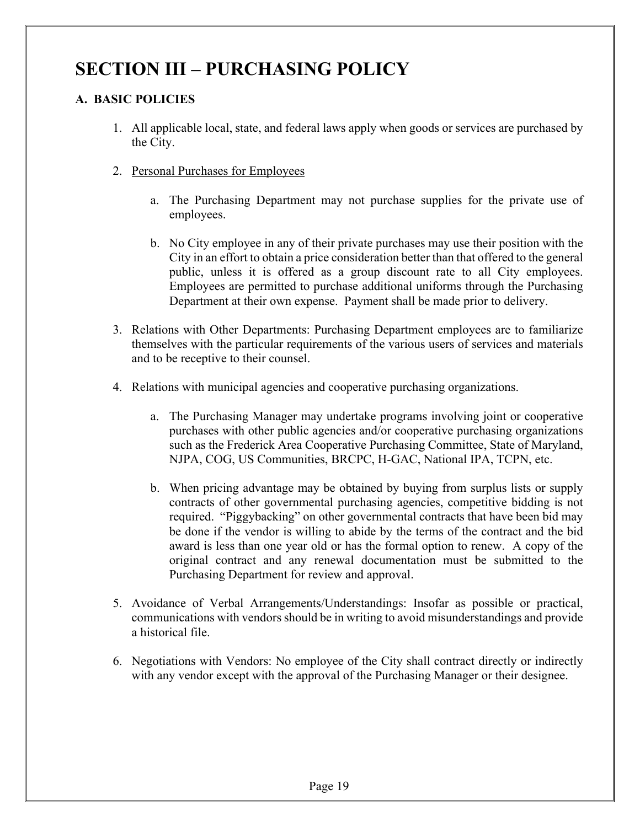## **SECTION III – PURCHASING POLICY**

#### **A. BASIC POLICIES**

- 1. All applicable local, state, and federal laws apply when goods or services are purchased by the City.
- 2. Personal Purchases for Employees
	- a. The Purchasing Department may not purchase supplies for the private use of employees.
	- b. No City employee in any of their private purchases may use their position with the City in an effort to obtain a price consideration better than that offered to the general public, unless it is offered as a group discount rate to all City employees. Employees are permitted to purchase additional uniforms through the Purchasing Department at their own expense. Payment shall be made prior to delivery.
- 3. Relations with Other Departments: Purchasing Department employees are to familiarize themselves with the particular requirements of the various users of services and materials and to be receptive to their counsel.
- 4. Relations with municipal agencies and cooperative purchasing organizations.
	- a. The Purchasing Manager may undertake programs involving joint or cooperative purchases with other public agencies and/or cooperative purchasing organizations such as the Frederick Area Cooperative Purchasing Committee, State of Maryland, NJPA, COG, US Communities, BRCPC, H-GAC, National IPA, TCPN, etc.
	- b. When pricing advantage may be obtained by buying from surplus lists or supply contracts of other governmental purchasing agencies, competitive bidding is not required. "Piggybacking" on other governmental contracts that have been bid may be done if the vendor is willing to abide by the terms of the contract and the bid award is less than one year old or has the formal option to renew. A copy of the original contract and any renewal documentation must be submitted to the Purchasing Department for review and approval.
- 5. Avoidance of Verbal Arrangements/Understandings: Insofar as possible or practical, communications with vendors should be in writing to avoid misunderstandings and provide a historical file.
- 6. Negotiations with Vendors: No employee of the City shall contract directly or indirectly with any vendor except with the approval of the Purchasing Manager or their designee.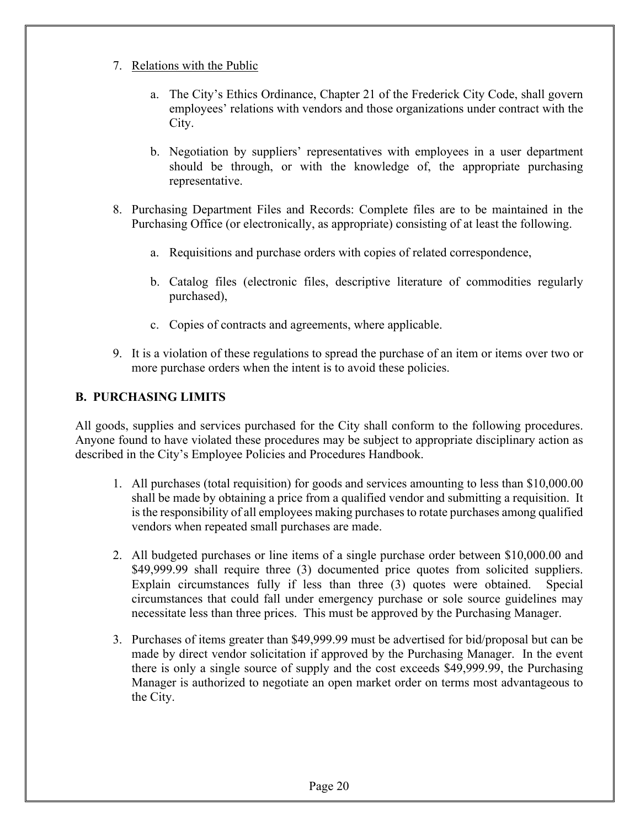- 7. Relations with the Public
	- a. The City's Ethics Ordinance, Chapter 21 of the Frederick City Code, shall govern employees' relations with vendors and those organizations under contract with the City.
	- b. Negotiation by suppliers' representatives with employees in a user department should be through, or with the knowledge of, the appropriate purchasing representative.
- 8. Purchasing Department Files and Records: Complete files are to be maintained in the Purchasing Office (or electronically, as appropriate) consisting of at least the following.
	- a. Requisitions and purchase orders with copies of related correspondence,
	- b. Catalog files (electronic files, descriptive literature of commodities regularly purchased),
	- c. Copies of contracts and agreements, where applicable.
- 9. It is a violation of these regulations to spread the purchase of an item or items over two or more purchase orders when the intent is to avoid these policies.

#### **B. PURCHASING LIMITS**

All goods, supplies and services purchased for the City shall conform to the following procedures. Anyone found to have violated these procedures may be subject to appropriate disciplinary action as described in the City's Employee Policies and Procedures Handbook.

- 1. All purchases (total requisition) for goods and services amounting to less than \$10,000.00 shall be made by obtaining a price from a qualified vendor and submitting a requisition. It is the responsibility of all employees making purchases to rotate purchases among qualified vendors when repeated small purchases are made.
- 2. All budgeted purchases or line items of a single purchase order between \$10,000.00 and \$49,999.99 shall require three (3) documented price quotes from solicited suppliers. Explain circumstances fully if less than three (3) quotes were obtained. Special circumstances that could fall under emergency purchase or sole source guidelines may necessitate less than three prices. This must be approved by the Purchasing Manager.
- 3. Purchases of items greater than \$49,999.99 must be advertised for bid/proposal but can be made by direct vendor solicitation if approved by the Purchasing Manager. In the event there is only a single source of supply and the cost exceeds \$49,999.99, the Purchasing Manager is authorized to negotiate an open market order on terms most advantageous to the City.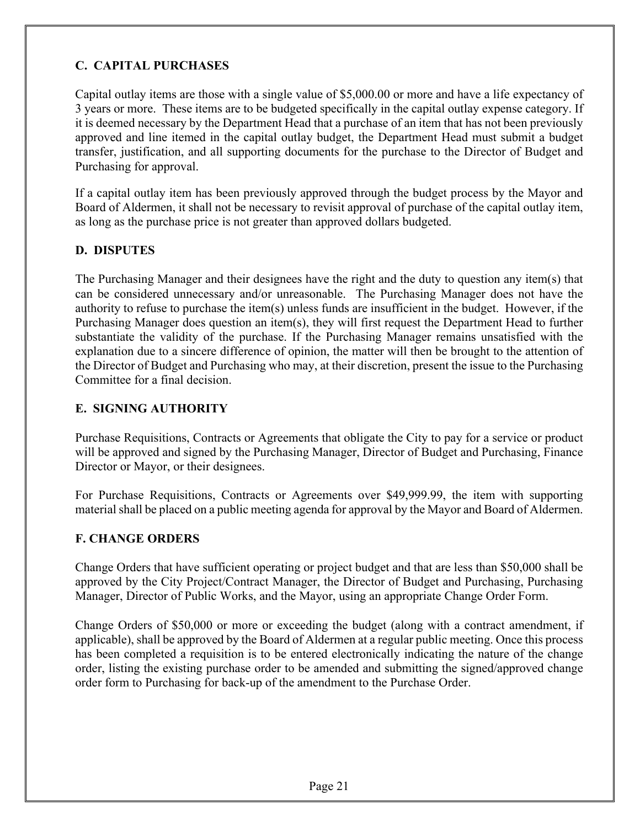#### **C. CAPITAL PURCHASES**

Capital outlay items are those with a single value of \$5,000.00 or more and have a life expectancy of 3 years or more. These items are to be budgeted specifically in the capital outlay expense category. If it is deemed necessary by the Department Head that a purchase of an item that has not been previously approved and line itemed in the capital outlay budget, the Department Head must submit a budget transfer, justification, and all supporting documents for the purchase to the Director of Budget and Purchasing for approval.

If a capital outlay item has been previously approved through the budget process by the Mayor and Board of Aldermen, it shall not be necessary to revisit approval of purchase of the capital outlay item, as long as the purchase price is not greater than approved dollars budgeted.

#### **D. DISPUTES**

The Purchasing Manager and their designees have the right and the duty to question any item(s) that can be considered unnecessary and/or unreasonable. The Purchasing Manager does not have the authority to refuse to purchase the item(s) unless funds are insufficient in the budget. However, if the Purchasing Manager does question an item(s), they will first request the Department Head to further substantiate the validity of the purchase. If the Purchasing Manager remains unsatisfied with the explanation due to a sincere difference of opinion, the matter will then be brought to the attention of the Director of Budget and Purchasing who may, at their discretion, present the issue to the Purchasing Committee for a final decision.

#### **E. SIGNING AUTHORITY**

Purchase Requisitions, Contracts or Agreements that obligate the City to pay for a service or product will be approved and signed by the Purchasing Manager, Director of Budget and Purchasing, Finance Director or Mayor, or their designees.

For Purchase Requisitions, Contracts or Agreements over \$49,999.99, the item with supporting material shall be placed on a public meeting agenda for approval by the Mayor and Board of Aldermen.

#### **F. CHANGE ORDERS**

Change Orders that have sufficient operating or project budget and that are less than \$50,000 shall be approved by the City Project/Contract Manager, the Director of Budget and Purchasing, Purchasing Manager, Director of Public Works, and the Mayor, using an appropriate Change Order Form.

Change Orders of \$50,000 or more or exceeding the budget (along with a contract amendment, if applicable), shall be approved by the Board of Aldermen at a regular public meeting. Once this process has been completed a requisition is to be entered electronically indicating the nature of the change order, listing the existing purchase order to be amended and submitting the signed/approved change order form to Purchasing for back-up of the amendment to the Purchase Order.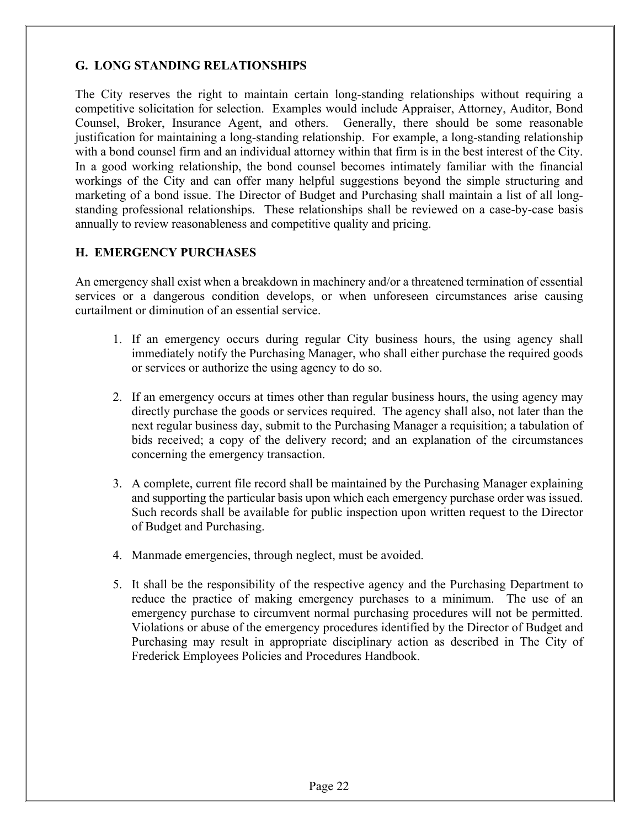#### **G. LONG STANDING RELATIONSHIPS**

The City reserves the right to maintain certain long-standing relationships without requiring a competitive solicitation for selection. Examples would include Appraiser, Attorney, Auditor, Bond Counsel, Broker, Insurance Agent, and others. Generally, there should be some reasonable justification for maintaining a long-standing relationship. For example, a long-standing relationship with a bond counsel firm and an individual attorney within that firm is in the best interest of the City. In a good working relationship, the bond counsel becomes intimately familiar with the financial workings of the City and can offer many helpful suggestions beyond the simple structuring and marketing of a bond issue. The Director of Budget and Purchasing shall maintain a list of all longstanding professional relationships. These relationships shall be reviewed on a case-by-case basis annually to review reasonableness and competitive quality and pricing.

#### **H. EMERGENCY PURCHASES**

An emergency shall exist when a breakdown in machinery and/or a threatened termination of essential services or a dangerous condition develops, or when unforeseen circumstances arise causing curtailment or diminution of an essential service.

- 1. If an emergency occurs during regular City business hours, the using agency shall immediately notify the Purchasing Manager, who shall either purchase the required goods or services or authorize the using agency to do so.
- 2. If an emergency occurs at times other than regular business hours, the using agency may directly purchase the goods or services required. The agency shall also, not later than the next regular business day, submit to the Purchasing Manager a requisition; a tabulation of bids received; a copy of the delivery record; and an explanation of the circumstances concerning the emergency transaction.
- 3. A complete, current file record shall be maintained by the Purchasing Manager explaining and supporting the particular basis upon which each emergency purchase order was issued. Such records shall be available for public inspection upon written request to the Director of Budget and Purchasing.
- 4. Manmade emergencies, through neglect, must be avoided.
- 5. It shall be the responsibility of the respective agency and the Purchasing Department to reduce the practice of making emergency purchases to a minimum. The use of an emergency purchase to circumvent normal purchasing procedures will not be permitted. Violations or abuse of the emergency procedures identified by the Director of Budget and Purchasing may result in appropriate disciplinary action as described in The City of Frederick Employees Policies and Procedures Handbook.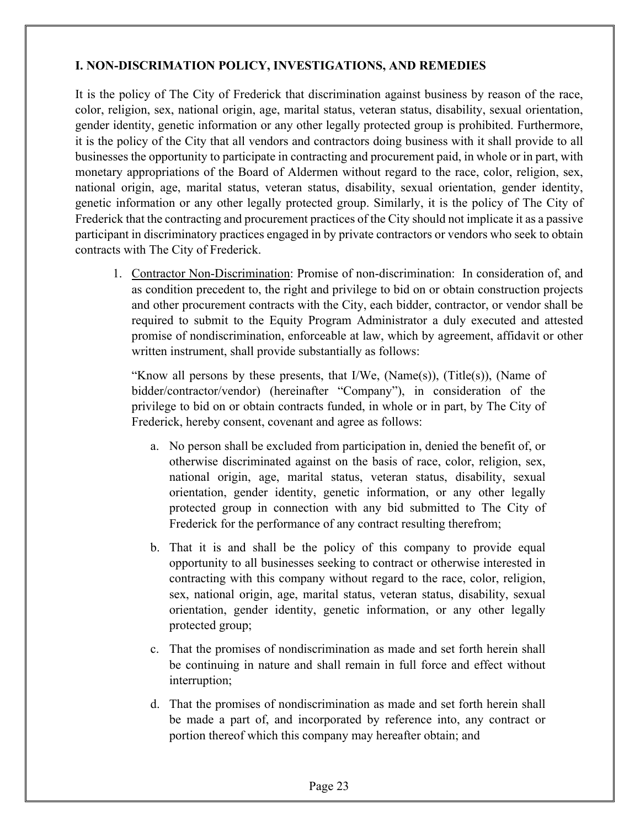#### **I. NON-DISCRIMATION POLICY, INVESTIGATIONS, AND REMEDIES**

It is the policy of The City of Frederick that discrimination against business by reason of the race, color, religion, sex, national origin, age, marital status, veteran status, disability, sexual orientation, gender identity, genetic information or any other legally protected group is prohibited. Furthermore, it is the policy of the City that all vendors and contractors doing business with it shall provide to all businesses the opportunity to participate in contracting and procurement paid, in whole or in part, with monetary appropriations of the Board of Aldermen without regard to the race, color, religion, sex, national origin, age, marital status, veteran status, disability, sexual orientation, gender identity, genetic information or any other legally protected group. Similarly, it is the policy of The City of Frederick that the contracting and procurement practices of the City should not implicate it as a passive participant in discriminatory practices engaged in by private contractors or vendors who seek to obtain contracts with The City of Frederick.

1. Contractor Non-Discrimination: Promise of non-discrimination: In consideration of, and as condition precedent to, the right and privilege to bid on or obtain construction projects and other procurement contracts with the City, each bidder, contractor, or vendor shall be required to submit to the Equity Program Administrator a duly executed and attested promise of nondiscrimination, enforceable at law, which by agreement, affidavit or other written instrument, shall provide substantially as follows:

"Know all persons by these presents, that  $I/We$ ,  $(Name(s))$ ,  $(Title(s))$ ,  $(Name of$ bidder/contractor/vendor) (hereinafter "Company"), in consideration of the privilege to bid on or obtain contracts funded, in whole or in part, by The City of Frederick, hereby consent, covenant and agree as follows:

- a. No person shall be excluded from participation in, denied the benefit of, or otherwise discriminated against on the basis of race, color, religion, sex, national origin, age, marital status, veteran status, disability, sexual orientation, gender identity, genetic information, or any other legally protected group in connection with any bid submitted to The City of Frederick for the performance of any contract resulting therefrom;
- b. That it is and shall be the policy of this company to provide equal opportunity to all businesses seeking to contract or otherwise interested in contracting with this company without regard to the race, color, religion, sex, national origin, age, marital status, veteran status, disability, sexual orientation, gender identity, genetic information, or any other legally protected group;
- c. That the promises of nondiscrimination as made and set forth herein shall be continuing in nature and shall remain in full force and effect without interruption;
- d. That the promises of nondiscrimination as made and set forth herein shall be made a part of, and incorporated by reference into, any contract or portion thereof which this company may hereafter obtain; and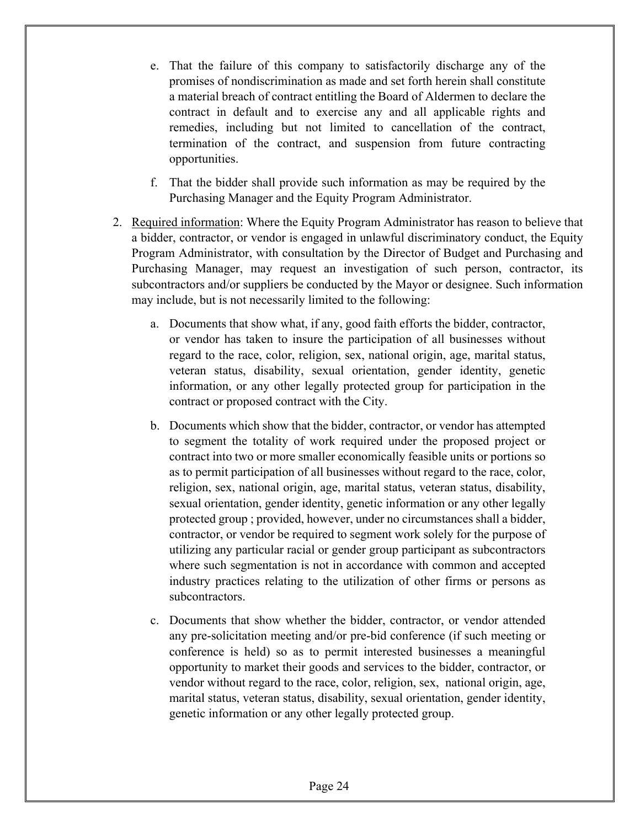- e. That the failure of this company to satisfactorily discharge any of the promises of nondiscrimination as made and set forth herein shall constitute a material breach of contract entitling the Board of Aldermen to declare the contract in default and to exercise any and all applicable rights and remedies, including but not limited to cancellation of the contract, termination of the contract, and suspension from future contracting opportunities.
- f. That the bidder shall provide such information as may be required by the Purchasing Manager and the Equity Program Administrator.
- 2. Required information: Where the Equity Program Administrator has reason to believe that a bidder, contractor, or vendor is engaged in unlawful discriminatory conduct, the Equity Program Administrator, with consultation by the Director of Budget and Purchasing and Purchasing Manager, may request an investigation of such person, contractor, its subcontractors and/or suppliers be conducted by the Mayor or designee. Such information may include, but is not necessarily limited to the following:
	- a. Documents that show what, if any, good faith efforts the bidder, contractor, or vendor has taken to insure the participation of all businesses without regard to the race, color, religion, sex, national origin, age, marital status, veteran status, disability, sexual orientation, gender identity, genetic information, or any other legally protected group for participation in the contract or proposed contract with the City.
	- b. Documents which show that the bidder, contractor, or vendor has attempted to segment the totality of work required under the proposed project or contract into two or more smaller economically feasible units or portions so as to permit participation of all businesses without regard to the race, color, religion, sex, national origin, age, marital status, veteran status, disability, sexual orientation, gender identity, genetic information or any other legally protected group ; provided, however, under no circumstances shall a bidder, contractor, or vendor be required to segment work solely for the purpose of utilizing any particular racial or gender group participant as subcontractors where such segmentation is not in accordance with common and accepted industry practices relating to the utilization of other firms or persons as subcontractors.
	- c. Documents that show whether the bidder, contractor, or vendor attended any pre-solicitation meeting and/or pre-bid conference (if such meeting or conference is held) so as to permit interested businesses a meaningful opportunity to market their goods and services to the bidder, contractor, or vendor without regard to the race, color, religion, sex, national origin, age, marital status, veteran status, disability, sexual orientation, gender identity, genetic information or any other legally protected group.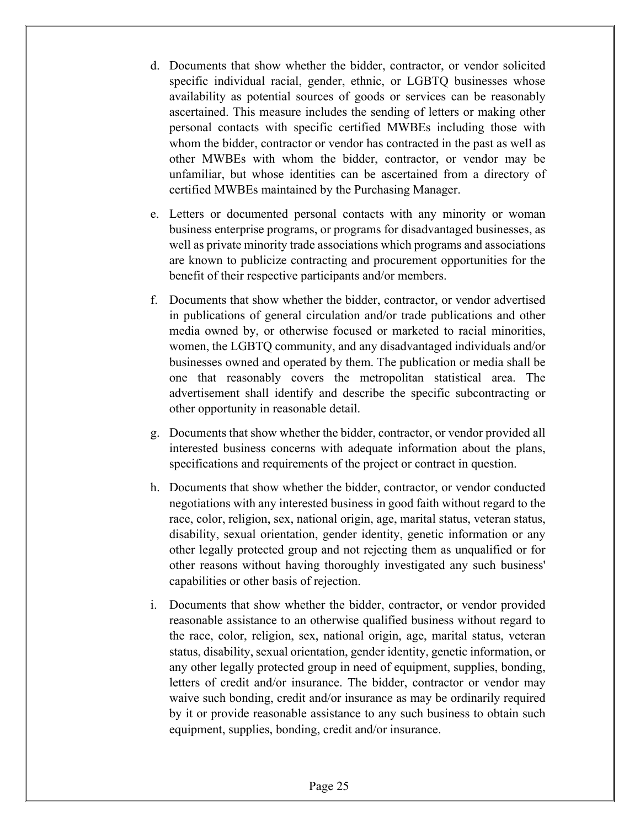- d. Documents that show whether the bidder, contractor, or vendor solicited specific individual racial, gender, ethnic, or LGBTQ businesses whose availability as potential sources of goods or services can be reasonably ascertained. This measure includes the sending of letters or making other personal contacts with specific certified MWBEs including those with whom the bidder, contractor or vendor has contracted in the past as well as other MWBEs with whom the bidder, contractor, or vendor may be unfamiliar, but whose identities can be ascertained from a directory of certified MWBEs maintained by the Purchasing Manager.
- e. Letters or documented personal contacts with any minority or woman business enterprise programs, or programs for disadvantaged businesses, as well as private minority trade associations which programs and associations are known to publicize contracting and procurement opportunities for the benefit of their respective participants and/or members.
- f. Documents that show whether the bidder, contractor, or vendor advertised in publications of general circulation and/or trade publications and other media owned by, or otherwise focused or marketed to racial minorities, women, the LGBTQ community, and any disadvantaged individuals and/or businesses owned and operated by them. The publication or media shall be one that reasonably covers the metropolitan statistical area. The advertisement shall identify and describe the specific subcontracting or other opportunity in reasonable detail.
- g. Documents that show whether the bidder, contractor, or vendor provided all interested business concerns with adequate information about the plans, specifications and requirements of the project or contract in question.
- h. Documents that show whether the bidder, contractor, or vendor conducted negotiations with any interested business in good faith without regard to the race, color, religion, sex, national origin, age, marital status, veteran status, disability, sexual orientation, gender identity, genetic information or any other legally protected group and not rejecting them as unqualified or for other reasons without having thoroughly investigated any such business' capabilities or other basis of rejection.
- i. Documents that show whether the bidder, contractor, or vendor provided reasonable assistance to an otherwise qualified business without regard to the race, color, religion, sex, national origin, age, marital status, veteran status, disability, sexual orientation, gender identity, genetic information, or any other legally protected group in need of equipment, supplies, bonding, letters of credit and/or insurance. The bidder, contractor or vendor may waive such bonding, credit and/or insurance as may be ordinarily required by it or provide reasonable assistance to any such business to obtain such equipment, supplies, bonding, credit and/or insurance.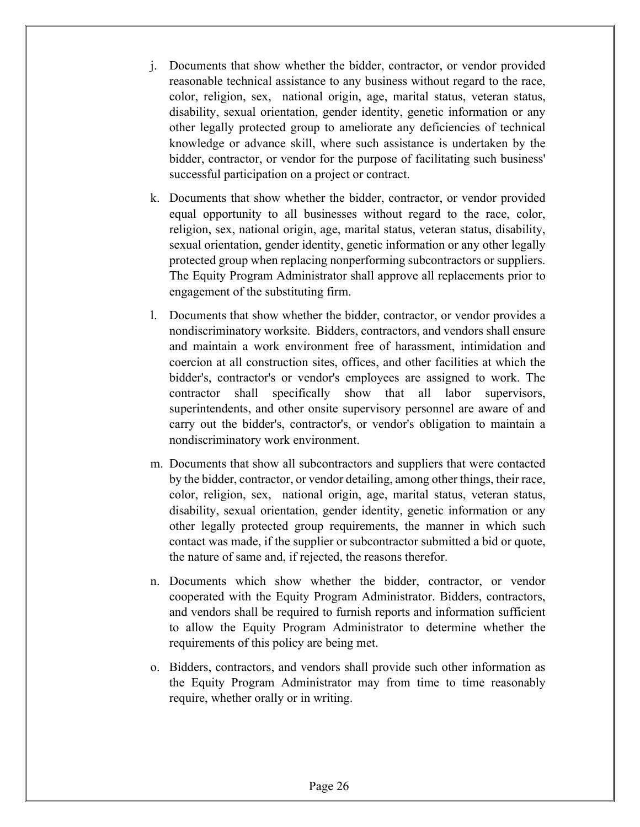- j. Documents that show whether the bidder, contractor, or vendor provided reasonable technical assistance to any business without regard to the race, color, religion, sex, national origin, age, marital status, veteran status, disability, sexual orientation, gender identity, genetic information or any other legally protected group to ameliorate any deficiencies of technical knowledge or advance skill, where such assistance is undertaken by the bidder, contractor, or vendor for the purpose of facilitating such business' successful participation on a project or contract.
- k. Documents that show whether the bidder, contractor, or vendor provided equal opportunity to all businesses without regard to the race, color, religion, sex, national origin, age, marital status, veteran status, disability, sexual orientation, gender identity, genetic information or any other legally protected group when replacing nonperforming subcontractors or suppliers. The Equity Program Administrator shall approve all replacements prior to engagement of the substituting firm.
- l. Documents that show whether the bidder, contractor, or vendor provides a nondiscriminatory worksite. Bidders, contractors, and vendors shall ensure and maintain a work environment free of harassment, intimidation and coercion at all construction sites, offices, and other facilities at which the bidder's, contractor's or vendor's employees are assigned to work. The contractor shall specifically show that all labor supervisors, superintendents, and other onsite supervisory personnel are aware of and carry out the bidder's, contractor's, or vendor's obligation to maintain a nondiscriminatory work environment.
- m. Documents that show all subcontractors and suppliers that were contacted by the bidder, contractor, or vendor detailing, among other things, their race, color, religion, sex, national origin, age, marital status, veteran status, disability, sexual orientation, gender identity, genetic information or any other legally protected group requirements, the manner in which such contact was made, if the supplier or subcontractor submitted a bid or quote, the nature of same and, if rejected, the reasons therefor.
- n. Documents which show whether the bidder, contractor, or vendor cooperated with the Equity Program Administrator. Bidders, contractors, and vendors shall be required to furnish reports and information sufficient to allow the Equity Program Administrator to determine whether the requirements of this policy are being met.
- o. Bidders, contractors, and vendors shall provide such other information as the Equity Program Administrator may from time to time reasonably require, whether orally or in writing.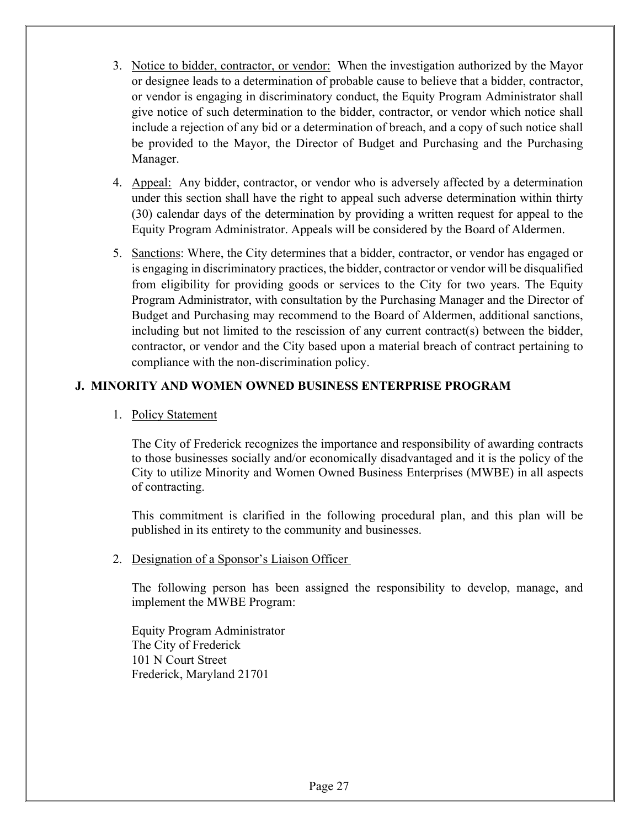- 3. Notice to bidder, contractor, or vendor: When the investigation authorized by the Mayor or designee leads to a determination of probable cause to believe that a bidder, contractor, or vendor is engaging in discriminatory conduct, the Equity Program Administrator shall give notice of such determination to the bidder, contractor, or vendor which notice shall include a rejection of any bid or a determination of breach, and a copy of such notice shall be provided to the Mayor, the Director of Budget and Purchasing and the Purchasing Manager.
- 4. Appeal: Any bidder, contractor, or vendor who is adversely affected by a determination under this section shall have the right to appeal such adverse determination within thirty (30) calendar days of the determination by providing a written request for appeal to the Equity Program Administrator. Appeals will be considered by the Board of Aldermen.
- 5. Sanctions: Where, the City determines that a bidder, contractor, or vendor has engaged or is engaging in discriminatory practices, the bidder, contractor or vendor will be disqualified from eligibility for providing goods or services to the City for two years. The Equity Program Administrator, with consultation by the Purchasing Manager and the Director of Budget and Purchasing may recommend to the Board of Aldermen, additional sanctions, including but not limited to the rescission of any current contract(s) between the bidder, contractor, or vendor and the City based upon a material breach of contract pertaining to compliance with the non-discrimination policy.

#### **J. MINORITY AND WOMEN OWNED BUSINESS ENTERPRISE PROGRAM**

1. Policy Statement

 The City of Frederick recognizes the importance and responsibility of awarding contracts to those businesses socially and/or economically disadvantaged and it is the policy of the City to utilize Minority and Women Owned Business Enterprises (MWBE) in all aspects of contracting.

 This commitment is clarified in the following procedural plan, and this plan will be published in its entirety to the community and businesses.

2. Designation of a Sponsor's Liaison Officer

The following person has been assigned the responsibility to develop, manage, and implement the MWBE Program:

Equity Program Administrator The City of Frederick 101 N Court Street Frederick, Maryland 21701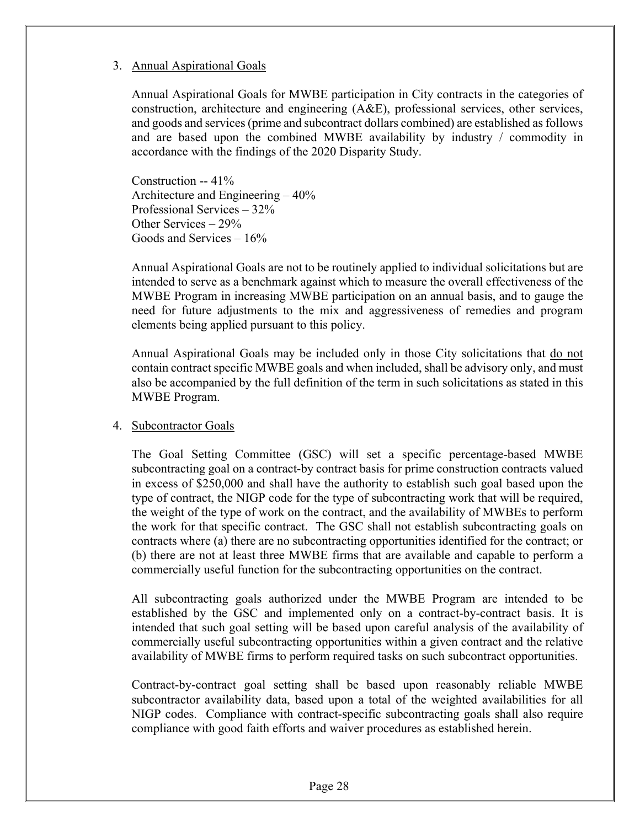#### 3. Annual Aspirational Goals

 Annual Aspirational Goals for MWBE participation in City contracts in the categories of construction, architecture and engineering (A&E), professional services, other services, and goods and services (prime and subcontract dollars combined) are established as follows and are based upon the combined MWBE availability by industry / commodity in accordance with the findings of the 2020 Disparity Study.

 Construction -- 41% Architecture and Engineering – 40% Professional Services – 32% Other Services – 29% Goods and Services – 16%

 Annual Aspirational Goals are not to be routinely applied to individual solicitations but are intended to serve as a benchmark against which to measure the overall effectiveness of the MWBE Program in increasing MWBE participation on an annual basis, and to gauge the need for future adjustments to the mix and aggressiveness of remedies and program elements being applied pursuant to this policy.

Annual Aspirational Goals may be included only in those City solicitations that <u>do not</u> contain contract specific MWBE goals and when included, shall be advisory only, and must also be accompanied by the full definition of the term in such solicitations as stated in this MWBE Program.

#### 4. Subcontractor Goals

The Goal Setting Committee (GSC) will set a specific percentage-based MWBE subcontracting goal on a contract-by contract basis for prime construction contracts valued in excess of \$250,000 and shall have the authority to establish such goal based upon the type of contract, the NIGP code for the type of subcontracting work that will be required, the weight of the type of work on the contract, and the availability of MWBEs to perform the work for that specific contract. The GSC shall not establish subcontracting goals on contracts where (a) there are no subcontracting opportunities identified for the contract; or (b) there are not at least three MWBE firms that are available and capable to perform a commercially useful function for the subcontracting opportunities on the contract.

 All subcontracting goals authorized under the MWBE Program are intended to be established by the GSC and implemented only on a contract-by-contract basis. It is intended that such goal setting will be based upon careful analysis of the availability of commercially useful subcontracting opportunities within a given contract and the relative availability of MWBE firms to perform required tasks on such subcontract opportunities.

 Contract-by-contract goal setting shall be based upon reasonably reliable MWBE subcontractor availability data, based upon a total of the weighted availabilities for all NIGP codes. Compliance with contract-specific subcontracting goals shall also require compliance with good faith efforts and waiver procedures as established herein.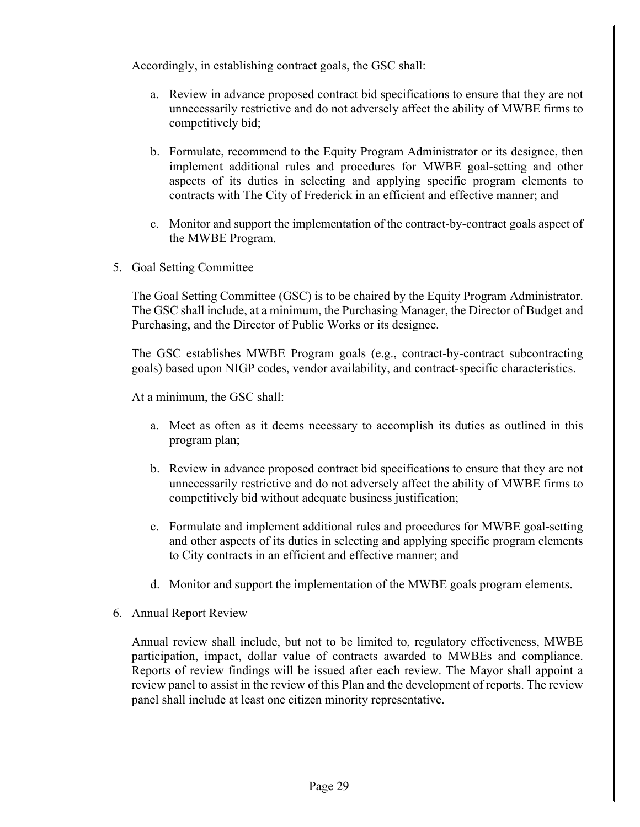Accordingly, in establishing contract goals, the GSC shall:

- a. Review in advance proposed contract bid specifications to ensure that they are not unnecessarily restrictive and do not adversely affect the ability of MWBE firms to competitively bid;
- b. Formulate, recommend to the Equity Program Administrator or its designee, then implement additional rules and procedures for MWBE goal-setting and other aspects of its duties in selecting and applying specific program elements to contracts with The City of Frederick in an efficient and effective manner; and
- c. Monitor and support the implementation of the contract-by-contract goals aspect of the MWBE Program.
- 5. Goal Setting Committee

The Goal Setting Committee (GSC) is to be chaired by the Equity Program Administrator. The GSC shall include, at a minimum, the Purchasing Manager, the Director of Budget and Purchasing, and the Director of Public Works or its designee.

The GSC establishes MWBE Program goals (e.g., contract-by-contract subcontracting goals) based upon NIGP codes, vendor availability, and contract-specific characteristics.

At a minimum, the GSC shall:

- a. Meet as often as it deems necessary to accomplish its duties as outlined in this program plan;
- b. Review in advance proposed contract bid specifications to ensure that they are not unnecessarily restrictive and do not adversely affect the ability of MWBE firms to competitively bid without adequate business justification;
- c. Formulate and implement additional rules and procedures for MWBE goal-setting and other aspects of its duties in selecting and applying specific program elements to City contracts in an efficient and effective manner; and
- d. Monitor and support the implementation of the MWBE goals program elements.

#### 6. Annual Report Review

Annual review shall include, but not to be limited to, regulatory effectiveness, MWBE participation, impact, dollar value of contracts awarded to MWBEs and compliance. Reports of review findings will be issued after each review. The Mayor shall appoint a review panel to assist in the review of this Plan and the development of reports. The review panel shall include at least one citizen minority representative.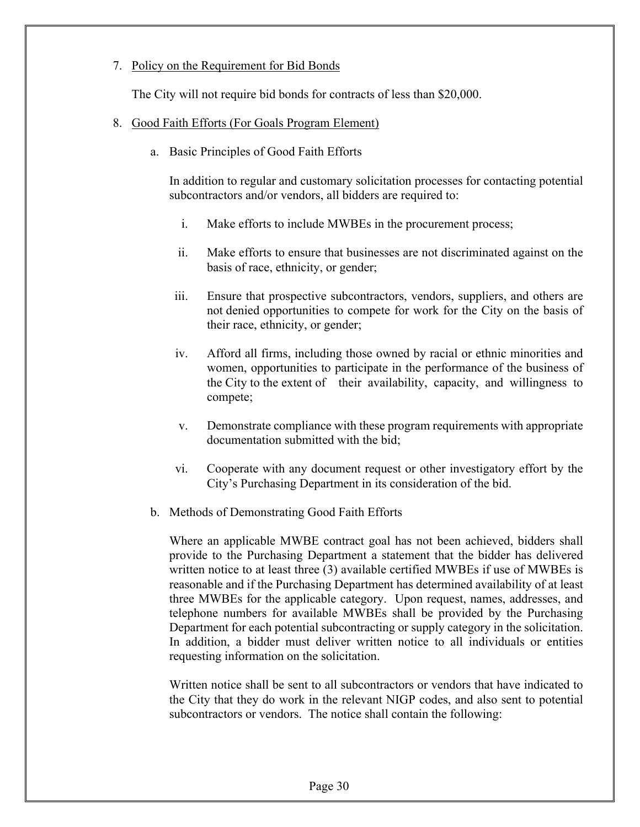#### 7. Policy on the Requirement for Bid Bonds

The City will not require bid bonds for contracts of less than \$20,000.

#### 8. Good Faith Efforts (For Goals Program Element)

a. Basic Principles of Good Faith Efforts

 In addition to regular and customary solicitation processes for contacting potential subcontractors and/or vendors, all bidders are required to:

- i. Make efforts to include MWBEs in the procurement process;
- ii. Make efforts to ensure that businesses are not discriminated against on the basis of race, ethnicity, or gender;
- iii. Ensure that prospective subcontractors, vendors, suppliers, and others are not denied opportunities to compete for work for the City on the basis of their race, ethnicity, or gender;
- iv. Afford all firms, including those owned by racial or ethnic minorities and women, opportunities to participate in the performance of the business of the City to the extent of their availability, capacity, and willingness to compete;
- v. Demonstrate compliance with these program requirements with appropriate documentation submitted with the bid;
- vi. Cooperate with any document request or other investigatory effort by the City's Purchasing Department in its consideration of the bid.
- b. Methods of Demonstrating Good Faith Efforts

 Where an applicable MWBE contract goal has not been achieved, bidders shall provide to the Purchasing Department a statement that the bidder has delivered written notice to at least three (3) available certified MWBEs if use of MWBEs is reasonable and if the Purchasing Department has determined availability of at least three MWBEs for the applicable category. Upon request, names, addresses, and telephone numbers for available MWBEs shall be provided by the Purchasing Department for each potential subcontracting or supply category in the solicitation. In addition, a bidder must deliver written notice to all individuals or entities requesting information on the solicitation.

 Written notice shall be sent to all subcontractors or vendors that have indicated to the City that they do work in the relevant NIGP codes, and also sent to potential subcontractors or vendors. The notice shall contain the following: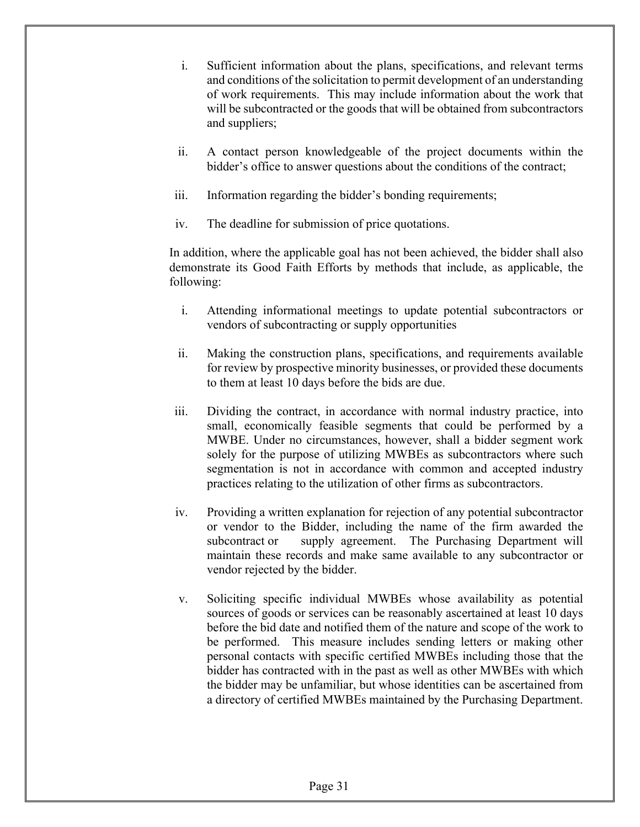- i. Sufficient information about the plans, specifications, and relevant terms and conditions of the solicitation to permit development of an understanding of work requirements. This may include information about the work that will be subcontracted or the goods that will be obtained from subcontractors and suppliers;
- ii. A contact person knowledgeable of the project documents within the bidder's office to answer questions about the conditions of the contract;
- iii. Information regarding the bidder's bonding requirements;
- iv. The deadline for submission of price quotations.

 In addition, where the applicable goal has not been achieved, the bidder shall also demonstrate its Good Faith Efforts by methods that include, as applicable, the following:

- i. Attending informational meetings to update potential subcontractors or vendors of subcontracting or supply opportunities
- ii. Making the construction plans, specifications, and requirements available for review by prospective minority businesses, or provided these documents to them at least 10 days before the bids are due.
- iii. Dividing the contract, in accordance with normal industry practice, into small, economically feasible segments that could be performed by a MWBE. Under no circumstances, however, shall a bidder segment work solely for the purpose of utilizing MWBEs as subcontractors where such segmentation is not in accordance with common and accepted industry practices relating to the utilization of other firms as subcontractors.
- iv. Providing a written explanation for rejection of any potential subcontractor or vendor to the Bidder, including the name of the firm awarded the subcontract or supply agreement. The Purchasing Department will maintain these records and make same available to any subcontractor or vendor rejected by the bidder.
- v. Soliciting specific individual MWBEs whose availability as potential sources of goods or services can be reasonably ascertained at least 10 days before the bid date and notified them of the nature and scope of the work to be performed. This measure includes sending letters or making other personal contacts with specific certified MWBEs including those that the bidder has contracted with in the past as well as other MWBEs with which the bidder may be unfamiliar, but whose identities can be ascertained from a directory of certified MWBEs maintained by the Purchasing Department.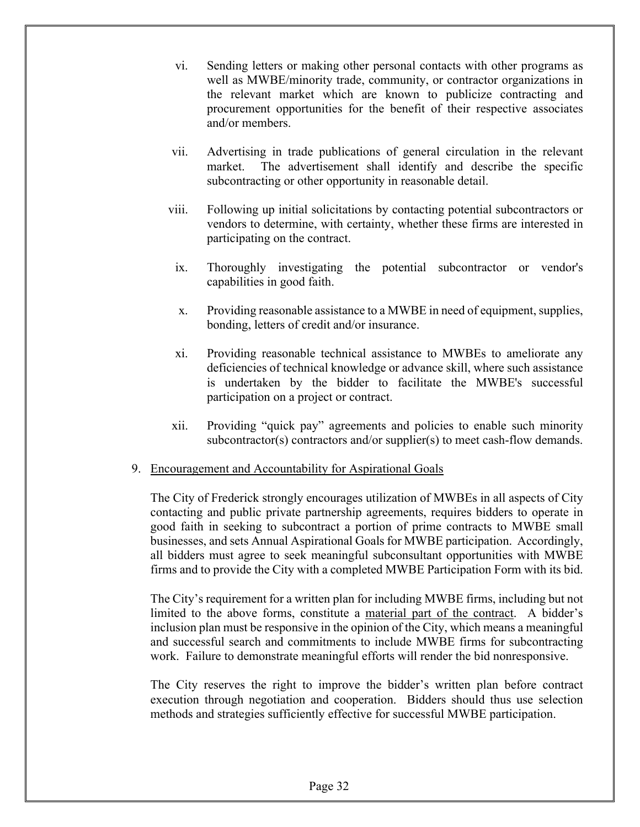- vi. Sending letters or making other personal contacts with other programs as well as MWBE/minority trade, community, or contractor organizations in the relevant market which are known to publicize contracting and procurement opportunities for the benefit of their respective associates and/or members.
- vii. Advertising in trade publications of general circulation in the relevant market. The advertisement shall identify and describe the specific subcontracting or other opportunity in reasonable detail.
- viii. Following up initial solicitations by contacting potential subcontractors or vendors to determine, with certainty, whether these firms are interested in participating on the contract.
	- ix. Thoroughly investigating the potential subcontractor or vendor's capabilities in good faith.
	- x. Providing reasonable assistance to a MWBE in need of equipment, supplies, bonding, letters of credit and/or insurance.
	- xi. Providing reasonable technical assistance to MWBEs to ameliorate any deficiencies of technical knowledge or advance skill, where such assistance is undertaken by the bidder to facilitate the MWBE's successful participation on a project or contract.
- xii. Providing "quick pay" agreements and policies to enable such minority subcontractor(s) contractors and/or supplier(s) to meet cash-flow demands.

#### 9. Encouragement and Accountability for Aspirational Goals

The City of Frederick strongly encourages utilization of MWBEs in all aspects of City contacting and public private partnership agreements, requires bidders to operate in good faith in seeking to subcontract a portion of prime contracts to MWBE small businesses, and sets Annual Aspirational Goals for MWBE participation. Accordingly, all bidders must agree to seek meaningful subconsultant opportunities with MWBE firms and to provide the City with a completed MWBE Participation Form with its bid.

The City's requirement for a written plan for including MWBE firms, including but not limited to the above forms, constitute a material part of the contract. A bidder's inclusion plan must be responsive in the opinion of the City, which means a meaningful and successful search and commitments to include MWBE firms for subcontracting work. Failure to demonstrate meaningful efforts will render the bid nonresponsive.

 The City reserves the right to improve the bidder's written plan before contract execution through negotiation and cooperation. Bidders should thus use selection methods and strategies sufficiently effective for successful MWBE participation.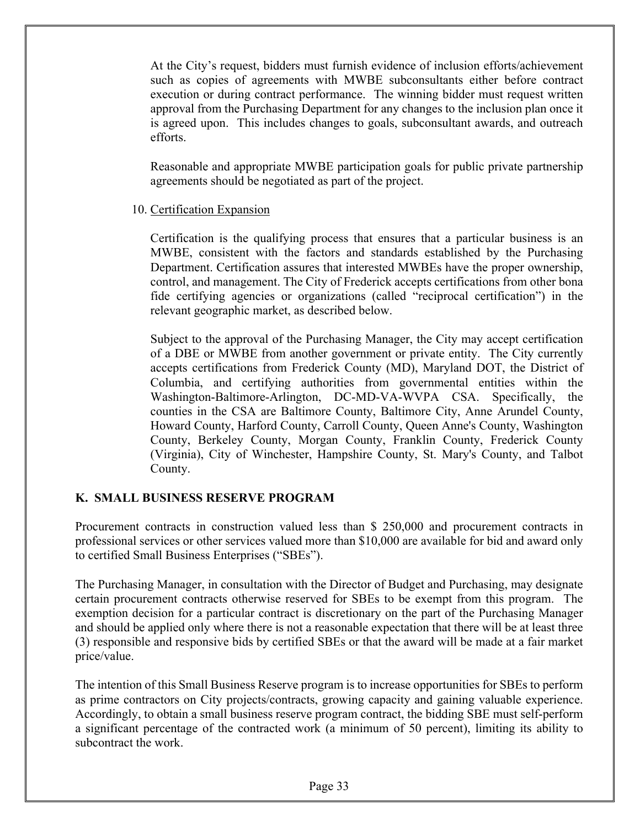At the City's request, bidders must furnish evidence of inclusion efforts/achievement such as copies of agreements with MWBE subconsultants either before contract execution or during contract performance. The winning bidder must request written approval from the Purchasing Department for any changes to the inclusion plan once it is agreed upon. This includes changes to goals, subconsultant awards, and outreach efforts.

Reasonable and appropriate MWBE participation goals for public private partnership agreements should be negotiated as part of the project.

#### 10. Certification Expansion

Certification is the qualifying process that ensures that a particular business is an MWBE, consistent with the factors and standards established by the Purchasing Department. Certification assures that interested MWBEs have the proper ownership, control, and management. The City of Frederick accepts certifications from other bona fide certifying agencies or organizations (called "reciprocal certification") in the relevant geographic market, as described below.

Subject to the approval of the Purchasing Manager, the City may accept certification of a DBE or MWBE from another government or private entity. The City currently accepts certifications from Frederick County (MD), Maryland DOT, the District of Columbia, and certifying authorities from governmental entities within the Washington-Baltimore-Arlington, DC-MD-VA-WVPA CSA. Specifically, the counties in the CSA are Baltimore County, Baltimore City, Anne Arundel County, Howard County, Harford County, Carroll County, Queen Anne's County, Washington County, Berkeley County, Morgan County, Franklin County, Frederick County (Virginia), City of Winchester, Hampshire County, St. Mary's County, and Talbot County.

#### **K. SMALL BUSINESS RESERVE PROGRAM**

Procurement contracts in construction valued less than \$ 250,000 and procurement contracts in professional services or other services valued more than \$10,000 are available for bid and award only to certified Small Business Enterprises ("SBEs").

The Purchasing Manager, in consultation with the Director of Budget and Purchasing, may designate certain procurement contracts otherwise reserved for SBEs to be exempt from this program. The exemption decision for a particular contract is discretionary on the part of the Purchasing Manager and should be applied only where there is not a reasonable expectation that there will be at least three (3) responsible and responsive bids by certified SBEs or that the award will be made at a fair market price/value.

The intention of this Small Business Reserve program is to increase opportunities for SBEs to perform as prime contractors on City projects/contracts, growing capacity and gaining valuable experience. Accordingly, to obtain a small business reserve program contract, the bidding SBE must self-perform a significant percentage of the contracted work (a minimum of 50 percent), limiting its ability to subcontract the work.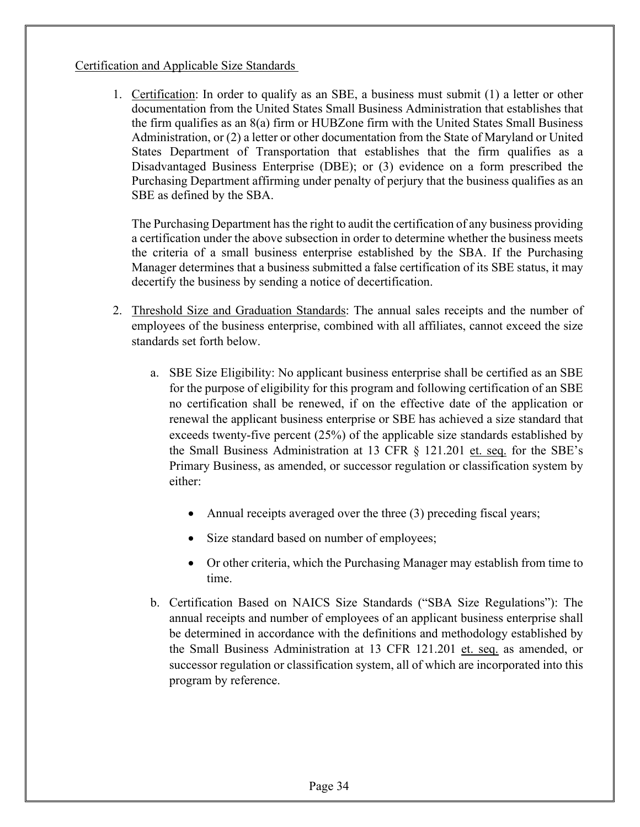#### Certification and Applicable Size Standards

1. Certification: In order to qualify as an SBE, a business must submit (1) a letter or other documentation from the United States Small Business Administration that establishes that the firm qualifies as an 8(a) firm or HUBZone firm with the United States Small Business Administration, or (2) a letter or other documentation from the State of Maryland or United States Department of Transportation that establishes that the firm qualifies as a Disadvantaged Business Enterprise (DBE); or (3) evidence on a form prescribed the Purchasing Department affirming under penalty of perjury that the business qualifies as an SBE as defined by the SBA.

The Purchasing Department has the right to audit the certification of any business providing a certification under the above subsection in order to determine whether the business meets the criteria of a small business enterprise established by the SBA. If the Purchasing Manager determines that a business submitted a false certification of its SBE status, it may decertify the business by sending a notice of decertification.

- 2. Threshold Size and Graduation Standards: The annual sales receipts and the number of employees of the business enterprise, combined with all affiliates, cannot exceed the size standards set forth below.
	- a. SBE Size Eligibility: No applicant business enterprise shall be certified as an SBE for the purpose of eligibility for this program and following certification of an SBE no certification shall be renewed, if on the effective date of the application or renewal the applicant business enterprise or SBE has achieved a size standard that exceeds twenty-five percent (25%) of the applicable size standards established by the Small Business Administration at 13 CFR § 121.201 et. seq. for the SBE's Primary Business, as amended, or successor regulation or classification system by either:
		- Annual receipts averaged over the three (3) preceding fiscal years;
		- Size standard based on number of employees;
		- Or other criteria, which the Purchasing Manager may establish from time to time.
	- b. Certification Based on NAICS Size Standards ("SBA Size Regulations"): The annual receipts and number of employees of an applicant business enterprise shall be determined in accordance with the definitions and methodology established by the Small Business Administration at 13 CFR 121.201 et. seq. as amended, or successor regulation or classification system, all of which are incorporated into this program by reference.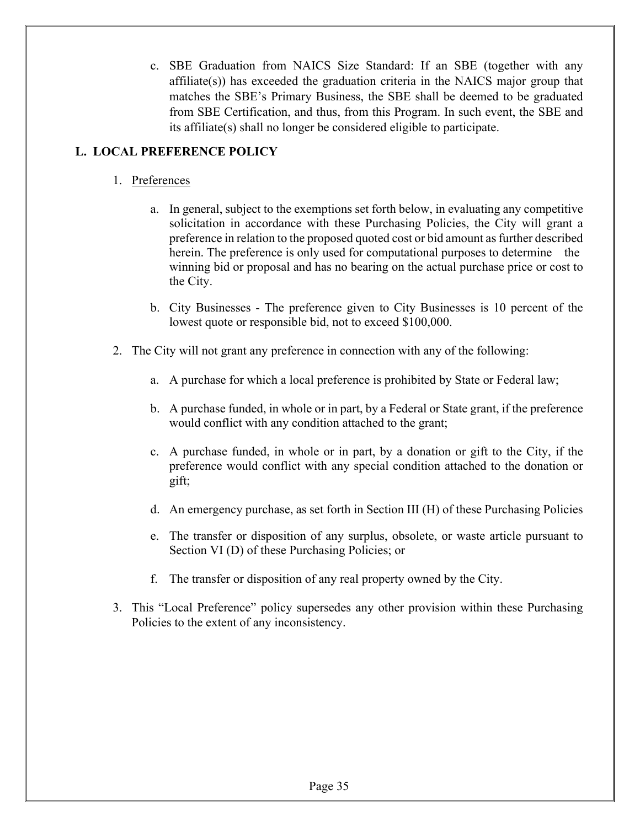c. SBE Graduation from NAICS Size Standard: If an SBE (together with any affiliate(s)) has exceeded the graduation criteria in the NAICS major group that matches the SBE's Primary Business, the SBE shall be deemed to be graduated from SBE Certification, and thus, from this Program. In such event, the SBE and its affiliate(s) shall no longer be considered eligible to participate.

#### **L. LOCAL PREFERENCE POLICY**

- 1. Preferences
	- a. In general, subject to the exemptions set forth below, in evaluating any competitive solicitation in accordance with these Purchasing Policies, the City will grant a preference in relation to the proposed quoted cost or bid amount as further described herein. The preference is only used for computational purposes to determine the winning bid or proposal and has no bearing on the actual purchase price or cost to the City.
	- b. City Businesses The preference given to City Businesses is 10 percent of the lowest quote or responsible bid, not to exceed \$100,000.
- 2. The City will not grant any preference in connection with any of the following:
	- a. A purchase for which a local preference is prohibited by State or Federal law;
	- b. A purchase funded, in whole or in part, by a Federal or State grant, if the preference would conflict with any condition attached to the grant;
	- c. A purchase funded, in whole or in part, by a donation or gift to the City, if the preference would conflict with any special condition attached to the donation or gift;
	- d. An emergency purchase, as set forth in Section III (H) of these Purchasing Policies
	- e. The transfer or disposition of any surplus, obsolete, or waste article pursuant to Section VI (D) of these Purchasing Policies; or
	- f. The transfer or disposition of any real property owned by the City.
- 3. This "Local Preference" policy supersedes any other provision within these Purchasing Policies to the extent of any inconsistency.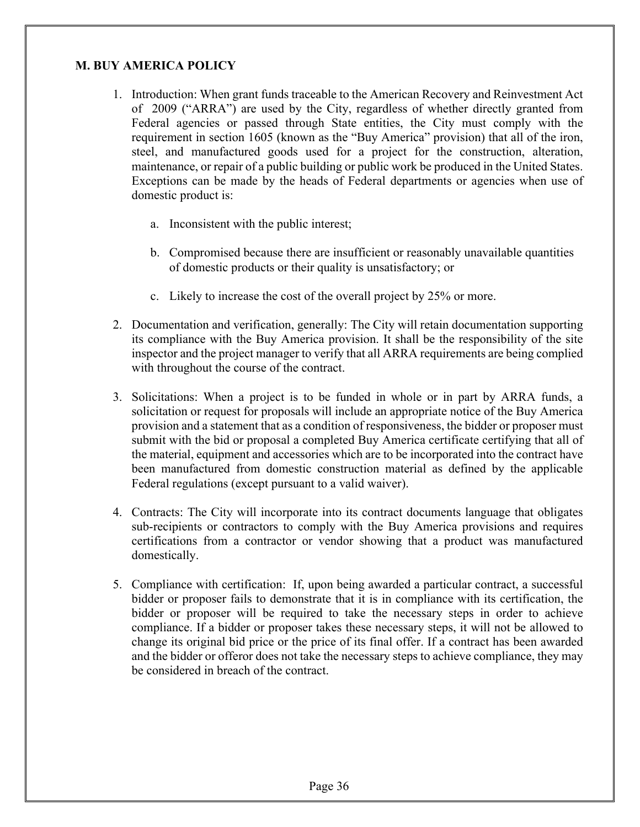#### **M. BUY AMERICA POLICY**

- 1. Introduction: When grant funds traceable to the American Recovery and Reinvestment Act of 2009 ("ARRA") are used by the City, regardless of whether directly granted from Federal agencies or passed through State entities, the City must comply with the requirement in section 1605 (known as the "Buy America" provision) that all of the iron, steel, and manufactured goods used for a project for the construction, alteration, maintenance, or repair of a public building or public work be produced in the United States. Exceptions can be made by the heads of Federal departments or agencies when use of domestic product is:
	- a. Inconsistent with the public interest;
	- b. Compromised because there are insufficient or reasonably unavailable quantities of domestic products or their quality is unsatisfactory; or
	- c. Likely to increase the cost of the overall project by 25% or more.
- 2. Documentation and verification, generally: The City will retain documentation supporting its compliance with the Buy America provision. It shall be the responsibility of the site inspector and the project manager to verify that all ARRA requirements are being complied with throughout the course of the contract.
- 3. Solicitations: When a project is to be funded in whole or in part by ARRA funds, a solicitation or request for proposals will include an appropriate notice of the Buy America provision and a statement that as a condition of responsiveness, the bidder or proposer must submit with the bid or proposal a completed Buy America certificate certifying that all of the material, equipment and accessories which are to be incorporated into the contract have been manufactured from domestic construction material as defined by the applicable Federal regulations (except pursuant to a valid waiver).
- 4. Contracts: The City will incorporate into its contract documents language that obligates sub-recipients or contractors to comply with the Buy America provisions and requires certifications from a contractor or vendor showing that a product was manufactured domestically.
- 5. Compliance with certification: If, upon being awarded a particular contract, a successful bidder or proposer fails to demonstrate that it is in compliance with its certification, the bidder or proposer will be required to take the necessary steps in order to achieve compliance. If a bidder or proposer takes these necessary steps, it will not be allowed to change its original bid price or the price of its final offer. If a contract has been awarded and the bidder or offeror does not take the necessary steps to achieve compliance, they may be considered in breach of the contract.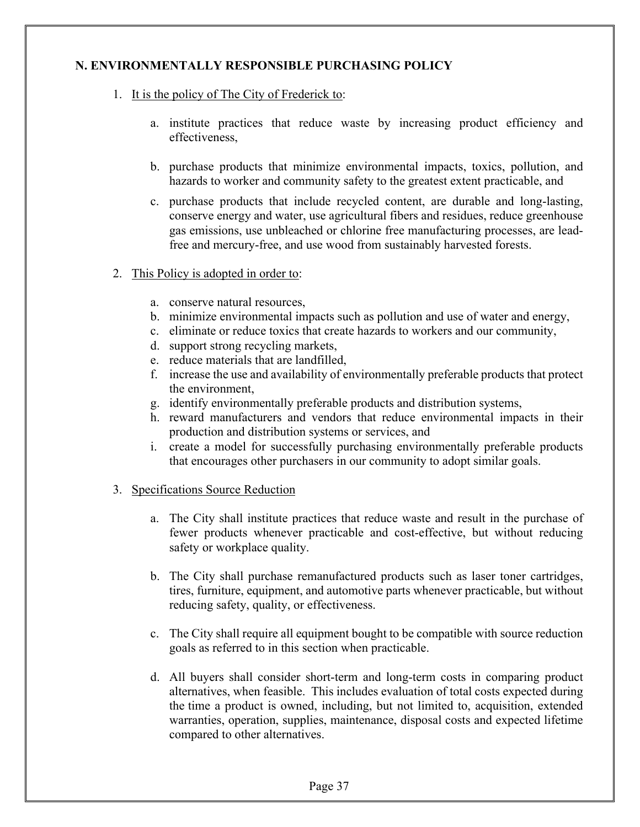#### **N. ENVIRONMENTALLY RESPONSIBLE PURCHASING POLICY**

- 1. It is the policy of The City of Frederick to:
	- a. institute practices that reduce waste by increasing product efficiency and effectiveness,
	- b. purchase products that minimize environmental impacts, toxics, pollution, and hazards to worker and community safety to the greatest extent practicable, and
	- c. purchase products that include recycled content, are durable and long-lasting, conserve energy and water, use agricultural fibers and residues, reduce greenhouse gas emissions, use unbleached or chlorine free manufacturing processes, are leadfree and mercury-free, and use wood from sustainably harvested forests.
- 2. This Policy is adopted in order to:
	- a. conserve natural resources,
	- b. minimize environmental impacts such as pollution and use of water and energy,
	- c. eliminate or reduce toxics that create hazards to workers and our community,
	- d. support strong recycling markets,
	- e. reduce materials that are landfilled,
	- f. increase the use and availability of environmentally preferable products that protect the environment,
	- g. identify environmentally preferable products and distribution systems,
	- h. reward manufacturers and vendors that reduce environmental impacts in their production and distribution systems or services, and
	- i. create a model for successfully purchasing environmentally preferable products that encourages other purchasers in our community to adopt similar goals.
- 3. Specifications Source Reduction
	- a. The City shall institute practices that reduce waste and result in the purchase of fewer products whenever practicable and cost-effective, but without reducing safety or workplace quality.
	- b. The City shall purchase remanufactured products such as laser toner cartridges, tires, furniture, equipment, and automotive parts whenever practicable, but without reducing safety, quality, or effectiveness.
	- c. The City shall require all equipment bought to be compatible with source reduction goals as referred to in this section when practicable.
	- d. All buyers shall consider short-term and long-term costs in comparing product alternatives, when feasible. This includes evaluation of total costs expected during the time a product is owned, including, but not limited to, acquisition, extended warranties, operation, supplies, maintenance, disposal costs and expected lifetime compared to other alternatives.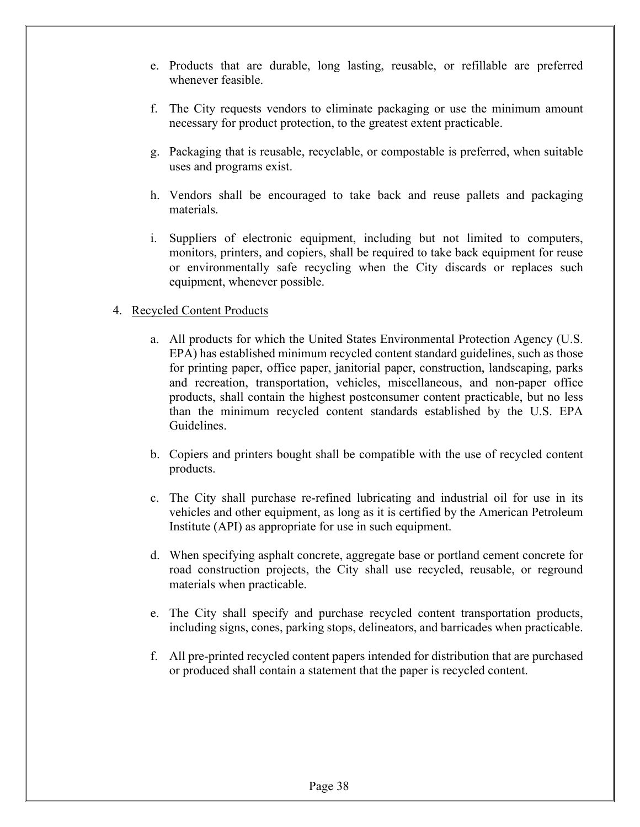- e. Products that are durable, long lasting, reusable, or refillable are preferred whenever feasible.
- f. The City requests vendors to eliminate packaging or use the minimum amount necessary for product protection, to the greatest extent practicable.
- g. Packaging that is reusable, recyclable, or compostable is preferred, when suitable uses and programs exist.
- h. Vendors shall be encouraged to take back and reuse pallets and packaging materials.
- i. Suppliers of electronic equipment, including but not limited to computers, monitors, printers, and copiers, shall be required to take back equipment for reuse or environmentally safe recycling when the City discards or replaces such equipment, whenever possible.

#### 4. Recycled Content Products

- a. All products for which the United States Environmental Protection Agency (U.S. EPA) has established minimum recycled content standard guidelines, such as those for printing paper, office paper, janitorial paper, construction, landscaping, parks and recreation, transportation, vehicles, miscellaneous, and non-paper office products, shall contain the highest postconsumer content practicable, but no less than the minimum recycled content standards established by the U.S. EPA Guidelines.
- b. Copiers and printers bought shall be compatible with the use of recycled content products.
- c. The City shall purchase re-refined lubricating and industrial oil for use in its vehicles and other equipment, as long as it is certified by the American Petroleum Institute (API) as appropriate for use in such equipment.
- d. When specifying asphalt concrete, aggregate base or portland cement concrete for road construction projects, the City shall use recycled, reusable, or reground materials when practicable.
- e. The City shall specify and purchase recycled content transportation products, including signs, cones, parking stops, delineators, and barricades when practicable.
- f. All pre-printed recycled content papers intended for distribution that are purchased or produced shall contain a statement that the paper is recycled content.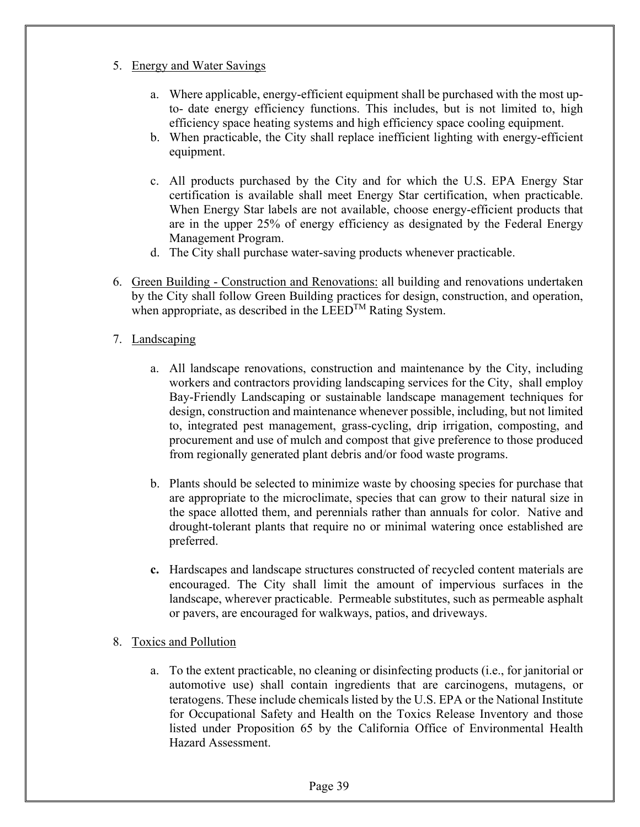- 5. Energy and Water Savings
	- a. Where applicable, energy-efficient equipment shall be purchased with the most upto- date energy efficiency functions. This includes, but is not limited to, high efficiency space heating systems and high efficiency space cooling equipment.
	- b. When practicable, the City shall replace inefficient lighting with energy-efficient equipment.
	- c. All products purchased by the City and for which the U.S. EPA Energy Star certification is available shall meet Energy Star certification, when practicable. When Energy Star labels are not available, choose energy-efficient products that are in the upper 25% of energy efficiency as designated by the Federal Energy Management Program.
	- d. The City shall purchase water-saving products whenever practicable.
- 6. Green Building Construction and Renovations: all building and renovations undertaken by the City shall follow Green Building practices for design, construction, and operation, when appropriate, as described in the  $LEED^{TM}$  Rating System.
- 7. Landscaping
	- a. All landscape renovations, construction and maintenance by the City, including workers and contractors providing landscaping services for the City, shall employ Bay-Friendly Landscaping or sustainable landscape management techniques for design, construction and maintenance whenever possible, including, but not limited to, integrated pest management, grass-cycling, drip irrigation, composting, and procurement and use of mulch and compost that give preference to those produced from regionally generated plant debris and/or food waste programs.
	- b. Plants should be selected to minimize waste by choosing species for purchase that are appropriate to the microclimate, species that can grow to their natural size in the space allotted them, and perennials rather than annuals for color. Native and drought-tolerant plants that require no or minimal watering once established are preferred.
	- **c.** Hardscapes and landscape structures constructed of recycled content materials are encouraged. The City shall limit the amount of impervious surfaces in the landscape, wherever practicable. Permeable substitutes, such as permeable asphalt or pavers, are encouraged for walkways, patios, and driveways.
- 8. Toxics and Pollution
	- a. To the extent practicable, no cleaning or disinfecting products (i.e., for janitorial or automotive use) shall contain ingredients that are carcinogens, mutagens, or teratogens. These include chemicals listed by the U.S. EPA or the National Institute for Occupational Safety and Health on the Toxics Release Inventory and those listed under Proposition 65 by the California Office of Environmental Health Hazard Assessment.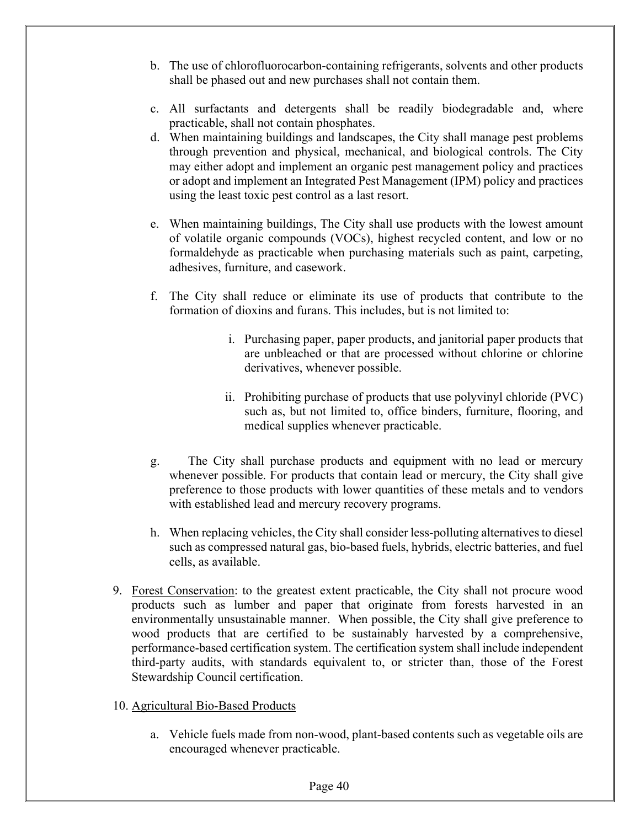- b. The use of chlorofluorocarbon-containing refrigerants, solvents and other products shall be phased out and new purchases shall not contain them.
- c. All surfactants and detergents shall be readily biodegradable and, where practicable, shall not contain phosphates.
- d. When maintaining buildings and landscapes, the City shall manage pest problems through prevention and physical, mechanical, and biological controls. The City may either adopt and implement an organic pest management policy and practices or adopt and implement an Integrated Pest Management (IPM) policy and practices using the least toxic pest control as a last resort.
- e. When maintaining buildings, The City shall use products with the lowest amount of volatile organic compounds (VOCs), highest recycled content, and low or no formaldehyde as practicable when purchasing materials such as paint, carpeting, adhesives, furniture, and casework.
- f. The City shall reduce or eliminate its use of products that contribute to the formation of dioxins and furans. This includes, but is not limited to:
	- i. Purchasing paper, paper products, and janitorial paper products that are unbleached or that are processed without chlorine or chlorine derivatives, whenever possible.
	- ii. Prohibiting purchase of products that use polyvinyl chloride (PVC) such as, but not limited to, office binders, furniture, flooring, and medical supplies whenever practicable.
- g. The City shall purchase products and equipment with no lead or mercury whenever possible. For products that contain lead or mercury, the City shall give preference to those products with lower quantities of these metals and to vendors with established lead and mercury recovery programs.
- h. When replacing vehicles, the City shall consider less-polluting alternatives to diesel such as compressed natural gas, bio-based fuels, hybrids, electric batteries, and fuel cells, as available.
- 9. Forest Conservation: to the greatest extent practicable, the City shall not procure wood products such as lumber and paper that originate from forests harvested in an environmentally unsustainable manner. When possible, the City shall give preference to wood products that are certified to be sustainably harvested by a comprehensive, performance-based certification system. The certification system shall include independent third-party audits, with standards equivalent to, or stricter than, those of the Forest Stewardship Council certification.
- 10. Agricultural Bio-Based Products
	- a. Vehicle fuels made from non-wood, plant-based contents such as vegetable oils are encouraged whenever practicable.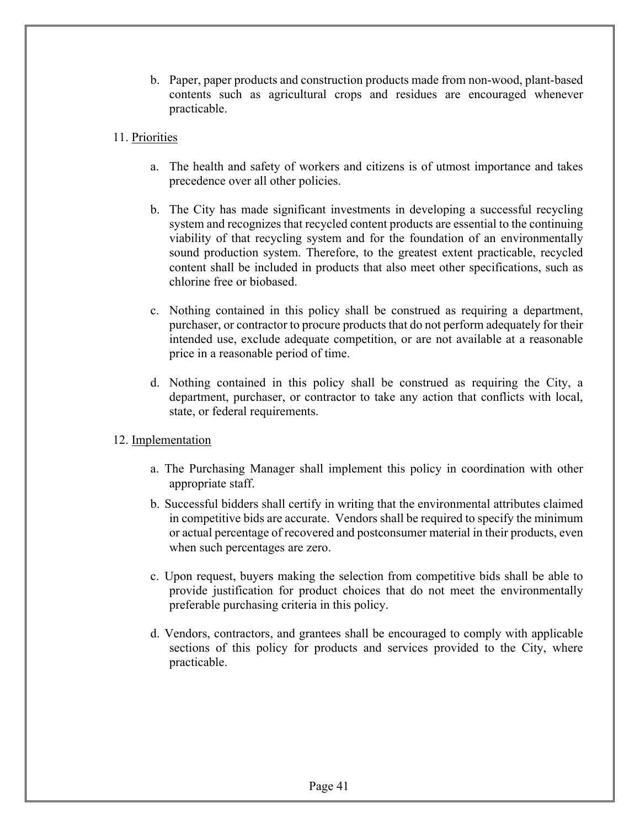- b. Paper, paper products and construction products made from non-wood, plant-based contents such as agricultural crops and residues are encouraged whenever practicable.
- 11. Priorities
	- a. The health and safety of workers and citizens is of utmost importance and takes precedence over all other policies.
	- b. The City has made significant investments in developing a successful recycling system and recognizes that recycled content products are essential to the continuing viability of that recycling system and for the foundation of an environmentally sound production system. Therefore, to the greatest extent practicable, recycled content shall be included in products that also meet other specifications, such as chlorine free or biobased.
	- c. Nothing contained in this policy shall be construed as requiring a department, purchaser, or contractor to procure products that do not perform adequately for their intended use, exclude adequate competition, or are not available at a reasonable price in a reasonable period of time.
	- d. Nothing contained in this policy shall be construed as requiring the City, a department, purchaser, or contractor to take any action that conflicts with local, state, or federal requirements.
- 12. Implementation
	- a. The Purchasing Manager shall implement this policy in coordination with other appropriate staff.
	- b. Successful bidders shall certify in writing that the environmental attributes claimed in competitive bids are accurate. Vendors shall be required to specify the minimum or actual percentage of recovered and postconsumer material in their products, even when such percentages are zero.
	- c. Upon request, buyers making the selection from competitive bids shall be able to provide justification for product choices that do not meet the environmentally preferable purchasing criteria in this policy.
	- d. Vendors, contractors, and grantees shall be encouraged to comply with applicable sections of this policy for products and services provided to the City, where practicable.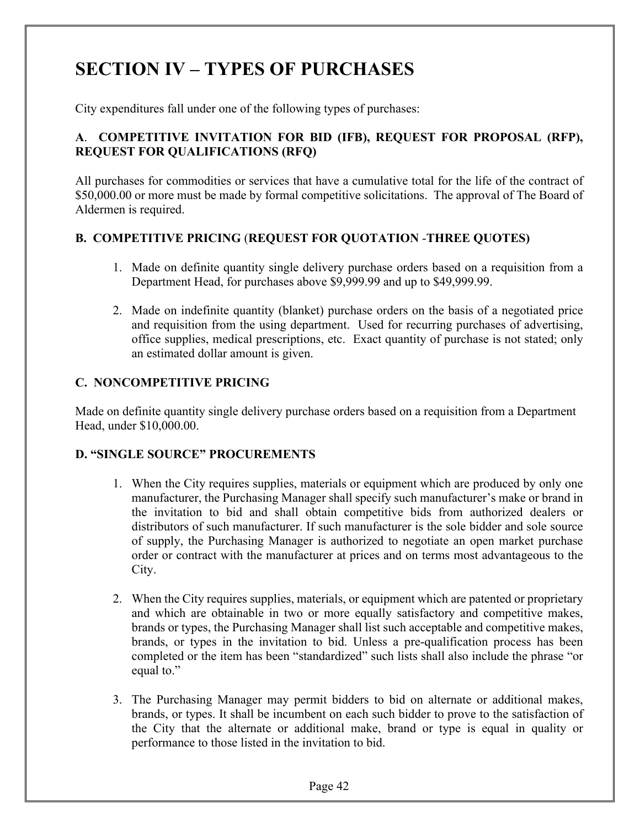## **SECTION IV – TYPES OF PURCHASES**

City expenditures fall under one of the following types of purchases:

#### **A**. **COMPETITIVE INVITATION FOR BID (IFB), REQUEST FOR PROPOSAL (RFP), REQUEST FOR QUALIFICATIONS (RFQ)**

All purchases for commodities or services that have a cumulative total for the life of the contract of \$50,000.00 or more must be made by formal competitive solicitations. The approval of The Board of Aldermen is required.

#### **B. COMPETITIVE PRICING** (**REQUEST FOR QUOTATION** -**THREE QUOTES)**

- 1. Made on definite quantity single delivery purchase orders based on a requisition from a Department Head, for purchases above \$9,999.99 and up to \$49,999.99.
- 2. Made on indefinite quantity (blanket) purchase orders on the basis of a negotiated price and requisition from the using department. Used for recurring purchases of advertising, office supplies, medical prescriptions, etc. Exact quantity of purchase is not stated; only an estimated dollar amount is given.

#### **C. NONCOMPETITIVE PRICING**

Made on definite quantity single delivery purchase orders based on a requisition from a Department Head, under \$10,000.00.

#### **D. "SINGLE SOURCE" PROCUREMENTS**

- 1. When the City requires supplies, materials or equipment which are produced by only one manufacturer, the Purchasing Manager shall specify such manufacturer's make or brand in the invitation to bid and shall obtain competitive bids from authorized dealers or distributors of such manufacturer. If such manufacturer is the sole bidder and sole source of supply, the Purchasing Manager is authorized to negotiate an open market purchase order or contract with the manufacturer at prices and on terms most advantageous to the City.
- 2. When the City requires supplies, materials, or equipment which are patented or proprietary and which are obtainable in two or more equally satisfactory and competitive makes, brands or types, the Purchasing Manager shall list such acceptable and competitive makes, brands, or types in the invitation to bid. Unless a pre-qualification process has been completed or the item has been "standardized" such lists shall also include the phrase "or equal to."
- 3. The Purchasing Manager may permit bidders to bid on alternate or additional makes, brands, or types. It shall be incumbent on each such bidder to prove to the satisfaction of the City that the alternate or additional make, brand or type is equal in quality or performance to those listed in the invitation to bid.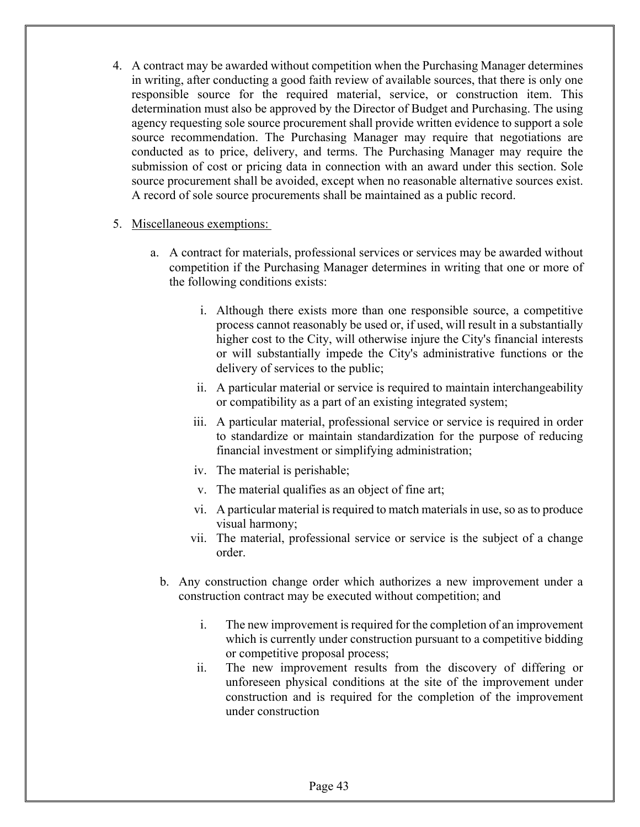4. A contract may be awarded without competition when the Purchasing Manager determines in writing, after conducting a good faith review of available sources, that there is only one responsible source for the required material, service, or construction item. This determination must also be approved by the Director of Budget and Purchasing. The using agency requesting sole source procurement shall provide written evidence to support a sole source recommendation. The Purchasing Manager may require that negotiations are conducted as to price, delivery, and terms. The Purchasing Manager may require the submission of cost or pricing data in connection with an award under this section. Sole source procurement shall be avoided, except when no reasonable alternative sources exist. A record of sole source procurements shall be maintained as a public record.

#### 5. Miscellaneous exemptions:

- a. A contract for materials, professional services or services may be awarded without competition if the Purchasing Manager determines in writing that one or more of the following conditions exists:
	- i. Although there exists more than one responsible source, a competitive process cannot reasonably be used or, if used, will result in a substantially higher cost to the City, will otherwise injure the City's financial interests or will substantially impede the City's administrative functions or the delivery of services to the public;
	- ii. A particular material or service is required to maintain interchangeability or compatibility as a part of an existing integrated system;
	- iii. A particular material, professional service or service is required in order to standardize or maintain standardization for the purpose of reducing financial investment or simplifying administration;
	- iv. The material is perishable;
	- v. The material qualifies as an object of fine art;
	- vi. A particular material is required to match materials in use, so as to produce visual harmony;
	- vii. The material, professional service or service is the subject of a change order.
	- b. Any construction change order which authorizes a new improvement under a construction contract may be executed without competition; and
		- i. The new improvement is required for the completion of an improvement which is currently under construction pursuant to a competitive bidding or competitive proposal process;
		- ii. The new improvement results from the discovery of differing or unforeseen physical conditions at the site of the improvement under construction and is required for the completion of the improvement under construction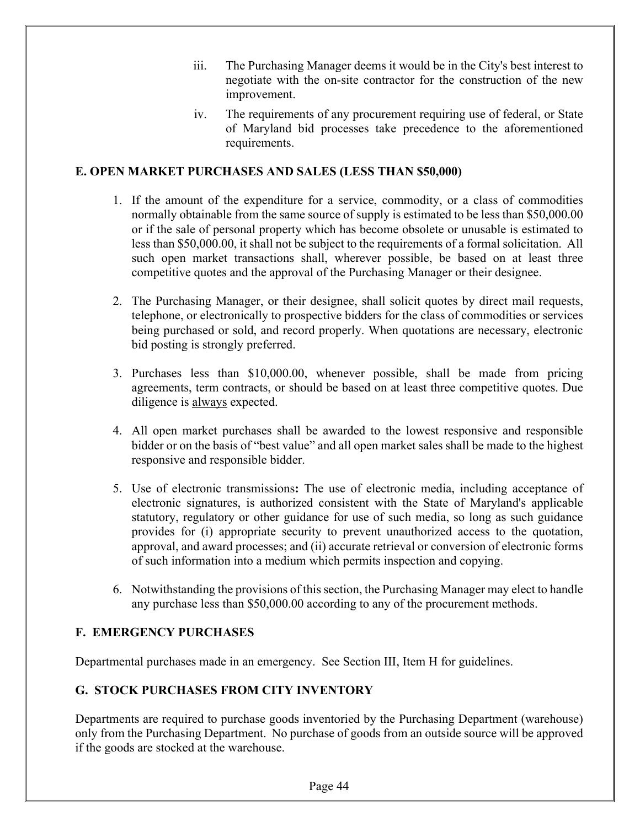- iii. The Purchasing Manager deems it would be in the City's best interest to negotiate with the on-site contractor for the construction of the new improvement.
- iv. The requirements of any procurement requiring use of federal, or State of Maryland bid processes take precedence to the aforementioned requirements.

#### **E. OPEN MARKET PURCHASES AND SALES (LESS THAN \$50,000)**

- 1. If the amount of the expenditure for a service, commodity, or a class of commodities normally obtainable from the same source of supply is estimated to be less than \$50,000.00 or if the sale of personal property which has become obsolete or unusable is estimated to less than \$50,000.00, it shall not be subject to the requirements of a formal solicitation. All such open market transactions shall, wherever possible, be based on at least three competitive quotes and the approval of the Purchasing Manager or their designee.
- 2. The Purchasing Manager, or their designee, shall solicit quotes by direct mail requests, telephone, or electronically to prospective bidders for the class of commodities or services being purchased or sold, and record properly. When quotations are necessary, electronic bid posting is strongly preferred.
- 3. Purchases less than \$10,000.00, whenever possible, shall be made from pricing agreements, term contracts, or should be based on at least three competitive quotes. Due diligence is always expected.
- 4. All open market purchases shall be awarded to the lowest responsive and responsible bidder or on the basis of "best value" and all open market sales shall be made to the highest responsive and responsible bidder.
- 5. Use of electronic transmissions**:** The use of electronic media, including acceptance of electronic signatures, is authorized consistent with the State of Maryland's applicable statutory, regulatory or other guidance for use of such media, so long as such guidance provides for (i) appropriate security to prevent unauthorized access to the quotation, approval, and award processes; and (ii) accurate retrieval or conversion of electronic forms of such information into a medium which permits inspection and copying.
- 6. Notwithstanding the provisions of this section, the Purchasing Manager may elect to handle any purchase less than \$50,000.00 according to any of the procurement methods.

#### **F. EMERGENCY PURCHASES**

Departmental purchases made in an emergency. See Section III, Item H for guidelines.

#### **G. STOCK PURCHASES FROM CITY INVENTORY**

Departments are required to purchase goods inventoried by the Purchasing Department (warehouse) only from the Purchasing Department. No purchase of goods from an outside source will be approved if the goods are stocked at the warehouse.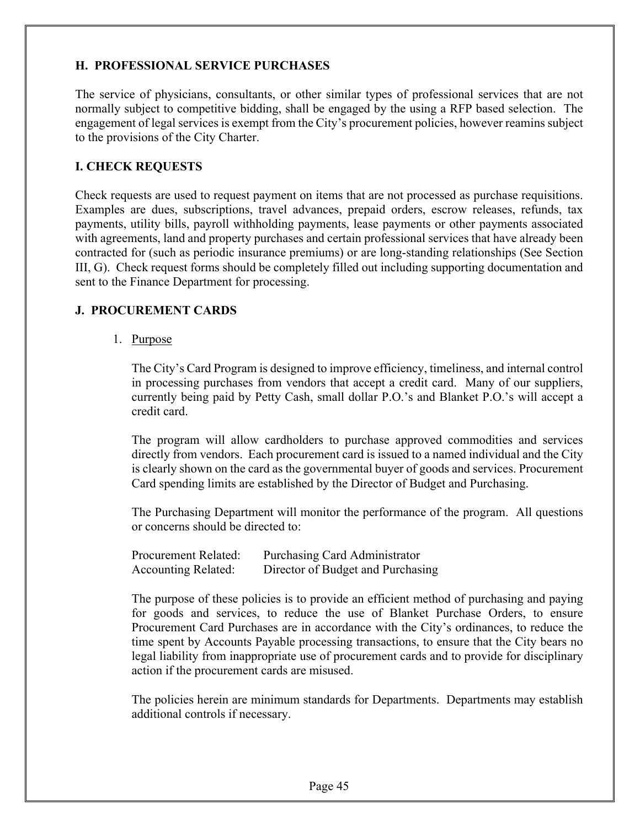#### **H. PROFESSIONAL SERVICE PURCHASES**

The service of physicians, consultants, or other similar types of professional services that are not normally subject to competitive bidding, shall be engaged by the using a RFP based selection. The engagement of legal services is exempt from the City's procurement policies, however reamins subject to the provisions of the City Charter.

#### **I. CHECK REQUESTS**

Check requests are used to request payment on items that are not processed as purchase requisitions. Examples are dues, subscriptions, travel advances, prepaid orders, escrow releases, refunds, tax payments, utility bills, payroll withholding payments, lease payments or other payments associated with agreements, land and property purchases and certain professional services that have already been contracted for (such as periodic insurance premiums) or are long-standing relationships (See Section III, G). Check request forms should be completely filled out including supporting documentation and sent to the Finance Department for processing.

#### **J. PROCUREMENT CARDS**

1. Purpose

The City's Card Program is designed to improve efficiency, timeliness, and internal control in processing purchases from vendors that accept a credit card. Many of our suppliers, currently being paid by Petty Cash, small dollar P.O.'s and Blanket P.O.'s will accept a credit card.

The program will allow cardholders to purchase approved commodities and services directly from vendors. Each procurement card is issued to a named individual and the City is clearly shown on the card as the governmental buyer of goods and services. Procurement Card spending limits are established by the Director of Budget and Purchasing.

The Purchasing Department will monitor the performance of the program. All questions or concerns should be directed to:

| Procurement Related:       | Purchasing Card Administrator     |
|----------------------------|-----------------------------------|
| <b>Accounting Related:</b> | Director of Budget and Purchasing |

The purpose of these policies is to provide an efficient method of purchasing and paying for goods and services, to reduce the use of Blanket Purchase Orders, to ensure Procurement Card Purchases are in accordance with the City's ordinances, to reduce the time spent by Accounts Payable processing transactions, to ensure that the City bears no legal liability from inappropriate use of procurement cards and to provide for disciplinary action if the procurement cards are misused.

The policies herein are minimum standards for Departments. Departments may establish additional controls if necessary.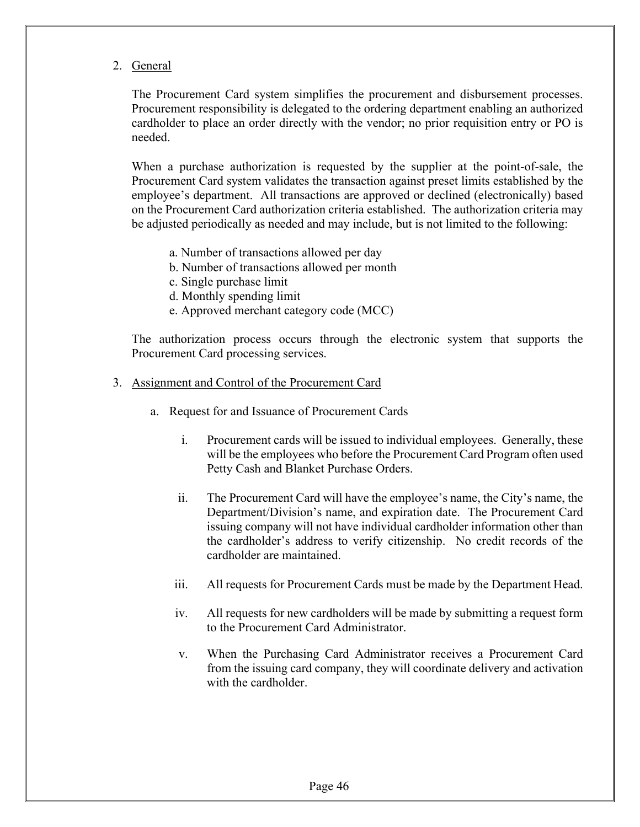2. General

The Procurement Card system simplifies the procurement and disbursement processes. Procurement responsibility is delegated to the ordering department enabling an authorized cardholder to place an order directly with the vendor; no prior requisition entry or PO is needed.

When a purchase authorization is requested by the supplier at the point-of-sale, the Procurement Card system validates the transaction against preset limits established by the employee's department. All transactions are approved or declined (electronically) based on the Procurement Card authorization criteria established. The authorization criteria may be adjusted periodically as needed and may include, but is not limited to the following:

- a. Number of transactions allowed per day
- b. Number of transactions allowed per month
- c. Single purchase limit
- d. Monthly spending limit
- e. Approved merchant category code (MCC)

The authorization process occurs through the electronic system that supports the Procurement Card processing services.

- 3. Assignment and Control of the Procurement Card
	- a. Request for and Issuance of Procurement Cards
		- i. Procurement cards will be issued to individual employees. Generally, these will be the employees who before the Procurement Card Program often used Petty Cash and Blanket Purchase Orders.
		- ii. The Procurement Card will have the employee's name, the City's name, the Department/Division's name, and expiration date. The Procurement Card issuing company will not have individual cardholder information other than the cardholder's address to verify citizenship. No credit records of the cardholder are maintained.
		- iii. All requests for Procurement Cards must be made by the Department Head.
		- iv. All requests for new cardholders will be made by submitting a request form to the Procurement Card Administrator.
		- v. When the Purchasing Card Administrator receives a Procurement Card from the issuing card company, they will coordinate delivery and activation with the cardholder.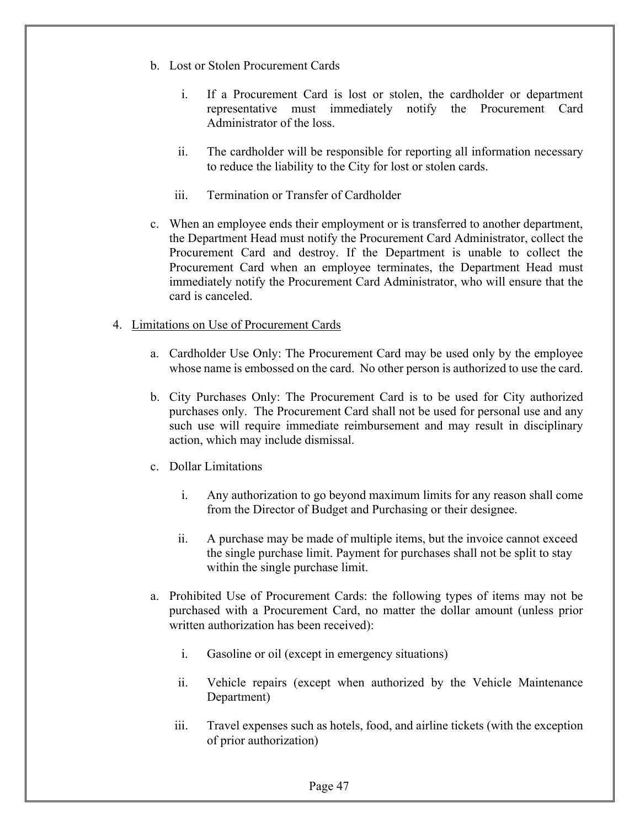- b. Lost or Stolen Procurement Cards
	- i. If a Procurement Card is lost or stolen, the cardholder or department representative must immediately notify the Procurement Card Administrator of the loss.
	- ii. The cardholder will be responsible for reporting all information necessary to reduce the liability to the City for lost or stolen cards.
	- iii. Termination or Transfer of Cardholder
- c. When an employee ends their employment or is transferred to another department, the Department Head must notify the Procurement Card Administrator, collect the Procurement Card and destroy. If the Department is unable to collect the Procurement Card when an employee terminates, the Department Head must immediately notify the Procurement Card Administrator, who will ensure that the card is canceled.

#### 4. Limitations on Use of Procurement Cards

- a. Cardholder Use Only: The Procurement Card may be used only by the employee whose name is embossed on the card. No other person is authorized to use the card.
- b. City Purchases Only: The Procurement Card is to be used for City authorized purchases only. The Procurement Card shall not be used for personal use and any such use will require immediate reimbursement and may result in disciplinary action, which may include dismissal.
- c. Dollar Limitations
	- i. Any authorization to go beyond maximum limits for any reason shall come from the Director of Budget and Purchasing or their designee.
	- ii. A purchase may be made of multiple items, but the invoice cannot exceed the single purchase limit. Payment for purchases shall not be split to stay within the single purchase limit.
- a. Prohibited Use of Procurement Cards: the following types of items may not be purchased with a Procurement Card, no matter the dollar amount (unless prior written authorization has been received):
	- i. Gasoline or oil (except in emergency situations)
	- ii. Vehicle repairs (except when authorized by the Vehicle Maintenance Department)
	- iii. Travel expenses such as hotels, food, and airline tickets (with the exception of prior authorization)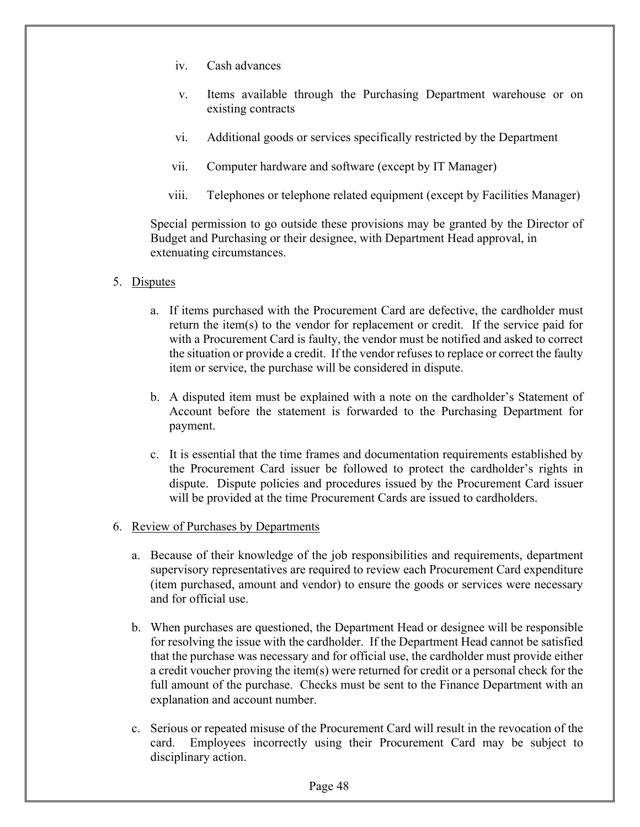- iv. Cash advances
- v. Items available through the Purchasing Department warehouse or on existing contracts
- vi. Additional goods or services specifically restricted by the Department
- vii. Computer hardware and software (except by IT Manager)
- viii. Telephones or telephone related equipment (except by Facilities Manager)

 Special permission to go outside these provisions may be granted by the Director of Budget and Purchasing or their designee, with Department Head approval, in extenuating circumstances.

- 5. Disputes
	- a. If items purchased with the Procurement Card are defective, the cardholder must return the item(s) to the vendor for replacement or credit. If the service paid for with a Procurement Card is faulty, the vendor must be notified and asked to correct the situation or provide a credit. If the vendor refuses to replace or correct the faulty item or service, the purchase will be considered in dispute.
	- b. A disputed item must be explained with a note on the cardholder's Statement of Account before the statement is forwarded to the Purchasing Department for payment.
	- c. It is essential that the time frames and documentation requirements established by the Procurement Card issuer be followed to protect the cardholder's rights in dispute. Dispute policies and procedures issued by the Procurement Card issuer will be provided at the time Procurement Cards are issued to cardholders.
- 6. Review of Purchases by Departments
	- a. Because of their knowledge of the job responsibilities and requirements, department supervisory representatives are required to review each Procurement Card expenditure (item purchased, amount and vendor) to ensure the goods or services were necessary and for official use.
	- b. When purchases are questioned, the Department Head or designee will be responsible for resolving the issue with the cardholder. If the Department Head cannot be satisfied that the purchase was necessary and for official use, the cardholder must provide either a credit voucher proving the item(s) were returned for credit or a personal check for the full amount of the purchase. Checks must be sent to the Finance Department with an explanation and account number.
	- c. Serious or repeated misuse of the Procurement Card will result in the revocation of the card. Employees incorrectly using their Procurement Card may be subject to disciplinary action.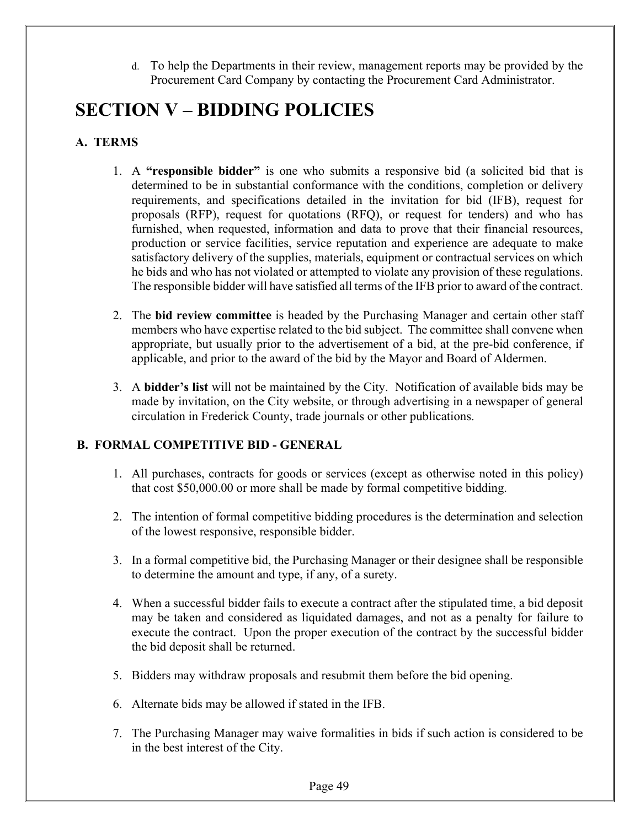To help the Departments in their review, management reports may be provided by the Procurement Card Company by contacting the Procurement Card Administrator.

## **SECTION V – BIDDING POLICIES**

#### **A. TERMS**

- 1. A **"responsible bidder"** is one who submits a responsive bid (a solicited bid that is determined to be in substantial conformance with the conditions, completion or delivery requirements, and specifications detailed in the invitation for bid (IFB), request for proposals (RFP), request for quotations (RFQ), or request for tenders) and who has furnished, when requested, information and data to prove that their financial resources, production or service facilities, service reputation and experience are adequate to make satisfactory delivery of the supplies, materials, equipment or contractual services on which he bids and who has not violated or attempted to violate any provision of these regulations. The responsible bidder will have satisfied all terms of the IFB prior to award of the contract.
- 2. The **bid review committee** is headed by the Purchasing Manager and certain other staff members who have expertise related to the bid subject. The committee shall convene when appropriate, but usually prior to the advertisement of a bid, at the pre-bid conference, if applicable, and prior to the award of the bid by the Mayor and Board of Aldermen.
- 3. A **bidder's list** will not be maintained by the City. Notification of available bids may be made by invitation, on the City website, or through advertising in a newspaper of general circulation in Frederick County, trade journals or other publications.

#### **B. FORMAL COMPETITIVE BID - GENERAL**

- 1. All purchases, contracts for goods or services (except as otherwise noted in this policy) that cost \$50,000.00 or more shall be made by formal competitive bidding.
- 2. The intention of formal competitive bidding procedures is the determination and selection of the lowest responsive, responsible bidder.
- 3. In a formal competitive bid, the Purchasing Manager or their designee shall be responsible to determine the amount and type, if any, of a surety.
- 4. When a successful bidder fails to execute a contract after the stipulated time, a bid deposit may be taken and considered as liquidated damages, and not as a penalty for failure to execute the contract. Upon the proper execution of the contract by the successful bidder the bid deposit shall be returned.
- 5. Bidders may withdraw proposals and resubmit them before the bid opening.
- 6. Alternate bids may be allowed if stated in the IFB.
- 7. The Purchasing Manager may waive formalities in bids if such action is considered to be in the best interest of the City.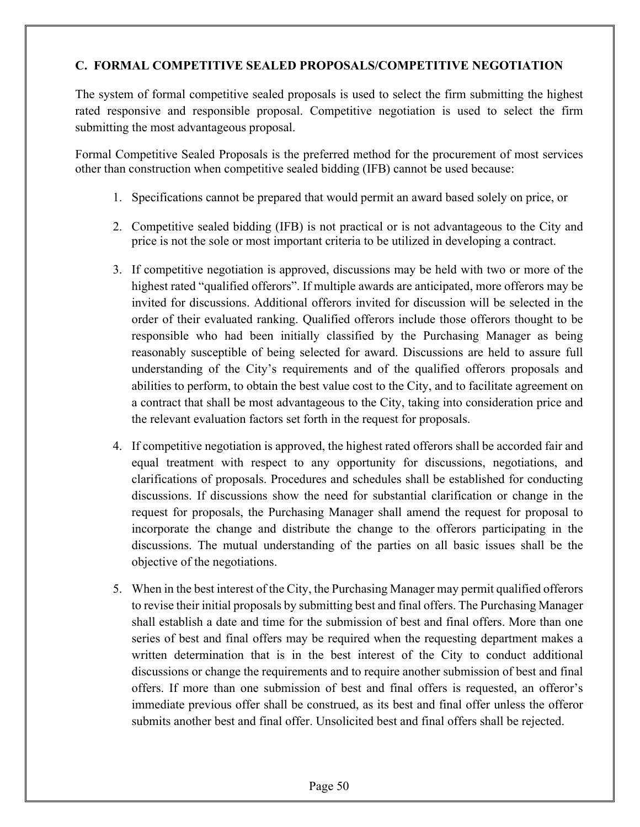#### **C. FORMAL COMPETITIVE SEALED PROPOSALS/COMPETITIVE NEGOTIATION**

The system of formal competitive sealed proposals is used to select the firm submitting the highest rated responsive and responsible proposal. Competitive negotiation is used to select the firm submitting the most advantageous proposal.

Formal Competitive Sealed Proposals is the preferred method for the procurement of most services other than construction when competitive sealed bidding (IFB) cannot be used because:

- 1. Specifications cannot be prepared that would permit an award based solely on price, or
- 2. Competitive sealed bidding (IFB) is not practical or is not advantageous to the City and price is not the sole or most important criteria to be utilized in developing a contract.
- 3. If competitive negotiation is approved, discussions may be held with two or more of the highest rated "qualified offerors". If multiple awards are anticipated, more offerors may be invited for discussions. Additional offerors invited for discussion will be selected in the order of their evaluated ranking. Qualified offerors include those offerors thought to be responsible who had been initially classified by the Purchasing Manager as being reasonably susceptible of being selected for award. Discussions are held to assure full understanding of the City's requirements and of the qualified offerors proposals and abilities to perform, to obtain the best value cost to the City, and to facilitate agreement on a contract that shall be most advantageous to the City, taking into consideration price and the relevant evaluation factors set forth in the request for proposals.
- 4. If competitive negotiation is approved, the highest rated offerors shall be accorded fair and equal treatment with respect to any opportunity for discussions, negotiations, and clarifications of proposals. Procedures and schedules shall be established for conducting discussions. If discussions show the need for substantial clarification or change in the request for proposals, the Purchasing Manager shall amend the request for proposal to incorporate the change and distribute the change to the offerors participating in the discussions. The mutual understanding of the parties on all basic issues shall be the objective of the negotiations.
- 5. When in the best interest of the City, the Purchasing Manager may permit qualified offerors to revise their initial proposals by submitting best and final offers. The Purchasing Manager shall establish a date and time for the submission of best and final offers. More than one series of best and final offers may be required when the requesting department makes a written determination that is in the best interest of the City to conduct additional discussions or change the requirements and to require another submission of best and final offers. If more than one submission of best and final offers is requested, an offeror's immediate previous offer shall be construed, as its best and final offer unless the offeror submits another best and final offer. Unsolicited best and final offers shall be rejected.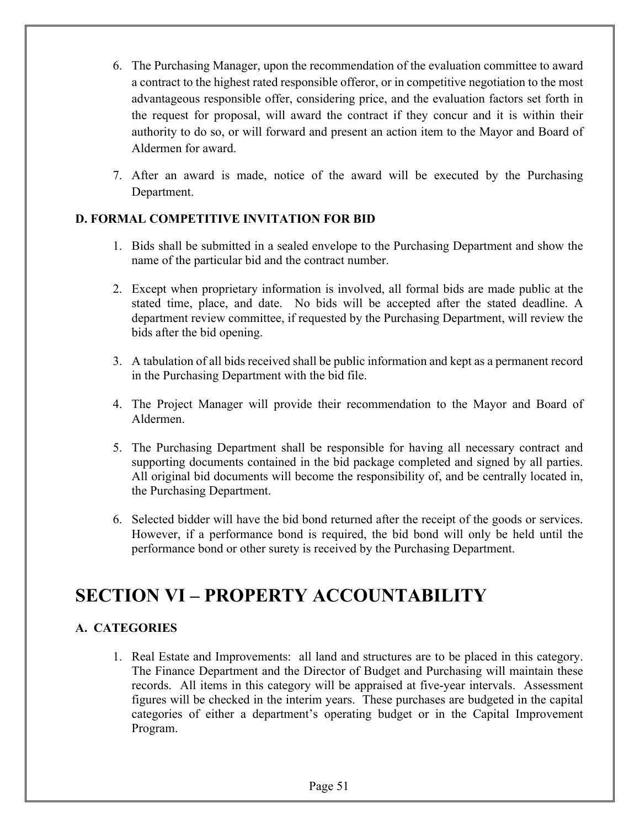- 6. The Purchasing Manager, upon the recommendation of the evaluation committee to award a contract to the highest rated responsible offeror, or in competitive negotiation to the most advantageous responsible offer, considering price, and the evaluation factors set forth in the request for proposal, will award the contract if they concur and it is within their authority to do so, or will forward and present an action item to the Mayor and Board of Aldermen for award.
- 7. After an award is made, notice of the award will be executed by the Purchasing Department.

#### **D. FORMAL COMPETITIVE INVITATION FOR BID**

- 1. Bids shall be submitted in a sealed envelope to the Purchasing Department and show the name of the particular bid and the contract number.
- 2. Except when proprietary information is involved, all formal bids are made public at the stated time, place, and date. No bids will be accepted after the stated deadline. A department review committee, if requested by the Purchasing Department, will review the bids after the bid opening.
- 3. A tabulation of all bids received shall be public information and kept as a permanent record in the Purchasing Department with the bid file.
- 4. The Project Manager will provide their recommendation to the Mayor and Board of Aldermen.
- 5. The Purchasing Department shall be responsible for having all necessary contract and supporting documents contained in the bid package completed and signed by all parties. All original bid documents will become the responsibility of, and be centrally located in, the Purchasing Department.
- 6. Selected bidder will have the bid bond returned after the receipt of the goods or services. However, if a performance bond is required, the bid bond will only be held until the performance bond or other surety is received by the Purchasing Department.

### **SECTION VI – PROPERTY ACCOUNTABILITY**

#### **A. CATEGORIES**

1. Real Estate and Improvements: all land and structures are to be placed in this category. The Finance Department and the Director of Budget and Purchasing will maintain these records. All items in this category will be appraised at five-year intervals. Assessment figures will be checked in the interim years. These purchases are budgeted in the capital categories of either a department's operating budget or in the Capital Improvement Program.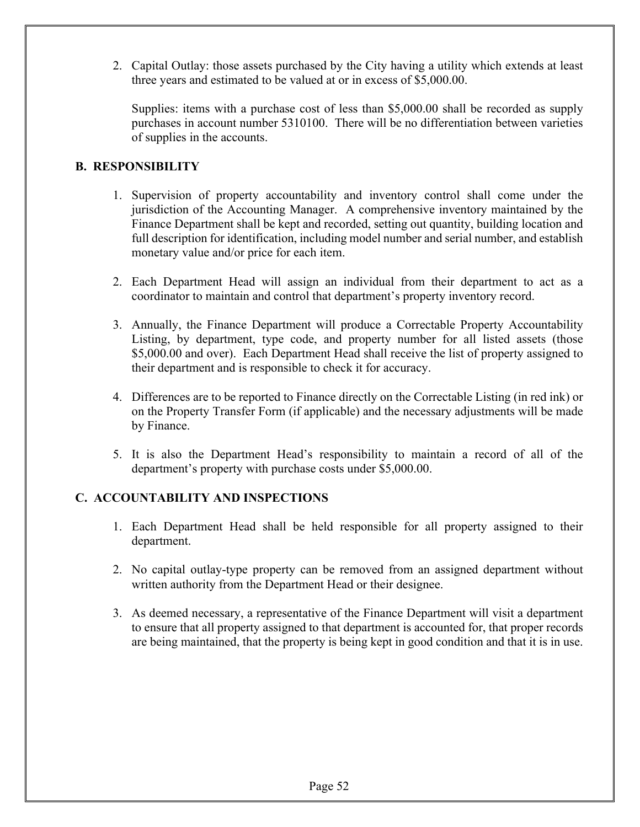2. Capital Outlay: those assets purchased by the City having a utility which extends at least three years and estimated to be valued at or in excess of \$5,000.00.

Supplies: items with a purchase cost of less than \$5,000.00 shall be recorded as supply purchases in account number 5310100. There will be no differentiation between varieties of supplies in the accounts.

#### **B. RESPONSIBILITY**

- 1. Supervision of property accountability and inventory control shall come under the jurisdiction of the Accounting Manager. A comprehensive inventory maintained by the Finance Department shall be kept and recorded, setting out quantity, building location and full description for identification, including model number and serial number, and establish monetary value and/or price for each item.
- 2. Each Department Head will assign an individual from their department to act as a coordinator to maintain and control that department's property inventory record.
- 3. Annually, the Finance Department will produce a Correctable Property Accountability Listing, by department, type code, and property number for all listed assets (those \$5,000.00 and over). Each Department Head shall receive the list of property assigned to their department and is responsible to check it for accuracy.
- 4. Differences are to be reported to Finance directly on the Correctable Listing (in red ink) or on the Property Transfer Form (if applicable) and the necessary adjustments will be made by Finance.
- 5. It is also the Department Head's responsibility to maintain a record of all of the department's property with purchase costs under \$5,000.00.

#### **C. ACCOUNTABILITY AND INSPECTIONS**

- 1. Each Department Head shall be held responsible for all property assigned to their department.
- 2. No capital outlay-type property can be removed from an assigned department without written authority from the Department Head or their designee.
- 3. As deemed necessary, a representative of the Finance Department will visit a department to ensure that all property assigned to that department is accounted for, that proper records are being maintained, that the property is being kept in good condition and that it is in use.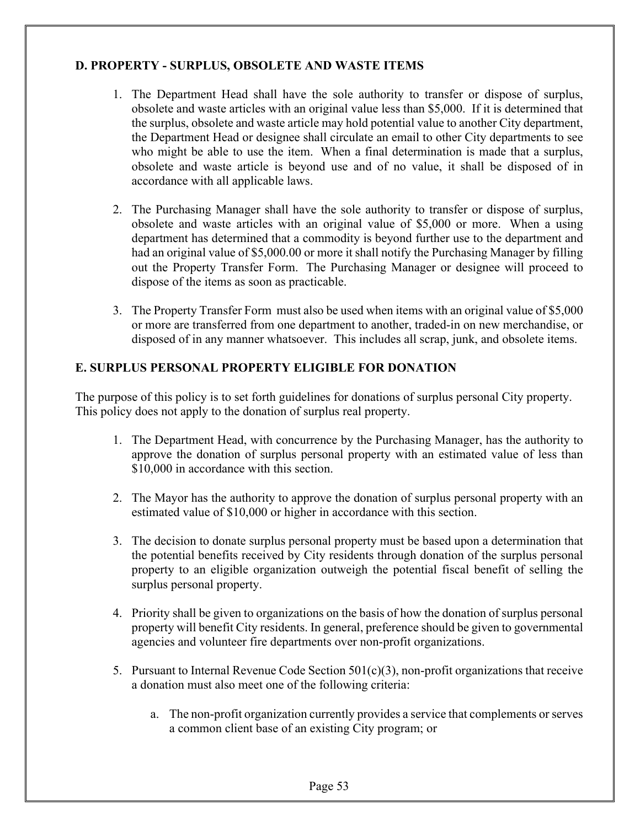#### **D. PROPERTY - SURPLUS, OBSOLETE AND WASTE ITEMS**

- 1. The Department Head shall have the sole authority to transfer or dispose of surplus, obsolete and waste articles with an original value less than \$5,000. If it is determined that the surplus, obsolete and waste article may hold potential value to another City department, the Department Head or designee shall circulate an email to other City departments to see who might be able to use the item. When a final determination is made that a surplus, obsolete and waste article is beyond use and of no value, it shall be disposed of in accordance with all applicable laws.
- 2. The Purchasing Manager shall have the sole authority to transfer or dispose of surplus, obsolete and waste articles with an original value of \$5,000 or more. When a using department has determined that a commodity is beyond further use to the department and had an original value of \$5,000.00 or more it shall notify the Purchasing Manager by filling out the Property Transfer Form. The Purchasing Manager or designee will proceed to dispose of the items as soon as practicable.
- 3. The Property Transfer Form must also be used when items with an original value of \$5,000 or more are transferred from one department to another, traded-in on new merchandise, or disposed of in any manner whatsoever. This includes all scrap, junk, and obsolete items.

#### **E. SURPLUS PERSONAL PROPERTY ELIGIBLE FOR DONATION**

The purpose of this policy is to set forth guidelines for donations of surplus personal City property. This policy does not apply to the donation of surplus real property.

- 1. The Department Head, with concurrence by the Purchasing Manager, has the authority to approve the donation of surplus personal property with an estimated value of less than \$10,000 in accordance with this section.
- 2. The Mayor has the authority to approve the donation of surplus personal property with an estimated value of \$10,000 or higher in accordance with this section.
- 3. The decision to donate surplus personal property must be based upon a determination that the potential benefits received by City residents through donation of the surplus personal property to an eligible organization outweigh the potential fiscal benefit of selling the surplus personal property.
- 4. Priority shall be given to organizations on the basis of how the donation of surplus personal property will benefit City residents. In general, preference should be given to governmental agencies and volunteer fire departments over non-profit organizations.
- 5. Pursuant to Internal Revenue Code Section  $501(c)(3)$ , non-profit organizations that receive a donation must also meet one of the following criteria:
	- a. The non-profit organization currently provides a service that complements or serves a common client base of an existing City program; or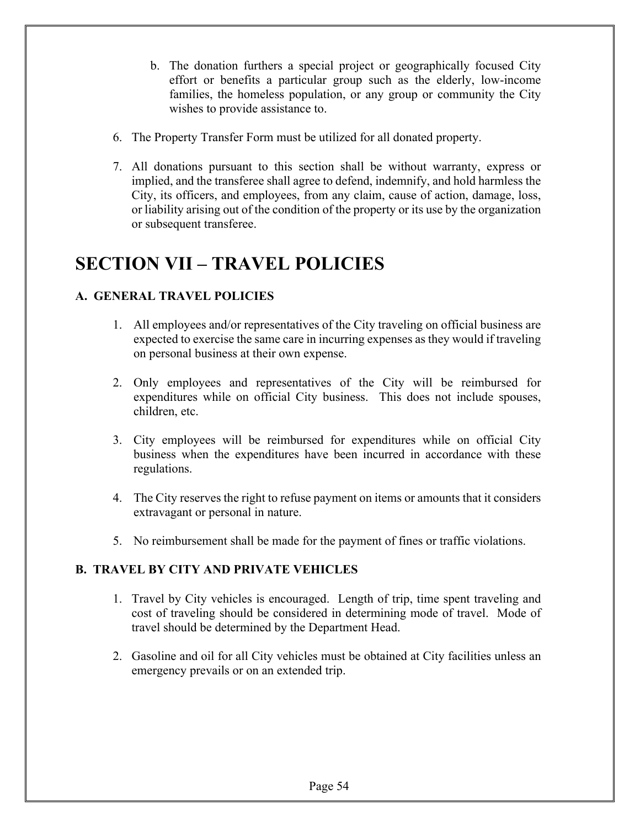- b. The donation furthers a special project or geographically focused City effort or benefits a particular group such as the elderly, low-income families, the homeless population, or any group or community the City wishes to provide assistance to.
- 6. The Property Transfer Form must be utilized for all donated property.
- 7. All donations pursuant to this section shall be without warranty, express or implied, and the transferee shall agree to defend, indemnify, and hold harmless the City, its officers, and employees, from any claim, cause of action, damage, loss, or liability arising out of the condition of the property or its use by the organization or subsequent transferee.

## **SECTION VII – TRAVEL POLICIES**

#### **A. GENERAL TRAVEL POLICIES**

- 1. All employees and/or representatives of the City traveling on official business are expected to exercise the same care in incurring expenses as they would if traveling on personal business at their own expense.
- 2. Only employees and representatives of the City will be reimbursed for expenditures while on official City business. This does not include spouses, children, etc.
- 3. City employees will be reimbursed for expenditures while on official City business when the expenditures have been incurred in accordance with these regulations.
- 4. The City reserves the right to refuse payment on items or amounts that it considers extravagant or personal in nature.
- 5. No reimbursement shall be made for the payment of fines or traffic violations.

#### **B. TRAVEL BY CITY AND PRIVATE VEHICLES**

- 1. Travel by City vehicles is encouraged. Length of trip, time spent traveling and cost of traveling should be considered in determining mode of travel. Mode of travel should be determined by the Department Head.
- 2. Gasoline and oil for all City vehicles must be obtained at City facilities unless an emergency prevails or on an extended trip.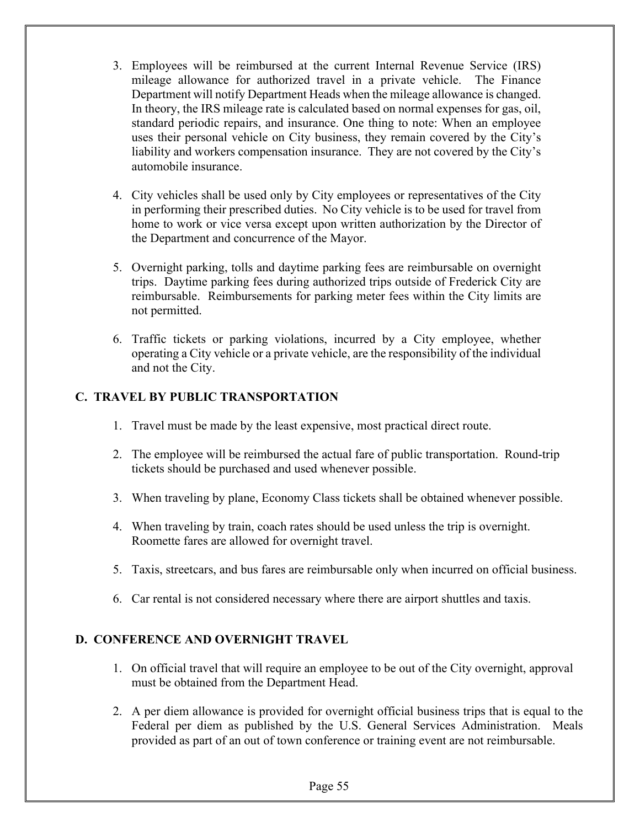- 3. Employees will be reimbursed at the current Internal Revenue Service (IRS) mileage allowance for authorized travel in a private vehicle. The Finance Department will notify Department Heads when the mileage allowance is changed. In theory, the IRS mileage rate is calculated based on normal expenses for gas, oil, standard periodic repairs, and insurance. One thing to note: When an employee uses their personal vehicle on City business, they remain covered by the City's liability and workers compensation insurance. They are not covered by the City's automobile insurance.
- 4. City vehicles shall be used only by City employees or representatives of the City in performing their prescribed duties. No City vehicle is to be used for travel from home to work or vice versa except upon written authorization by the Director of the Department and concurrence of the Mayor.
- 5. Overnight parking, tolls and daytime parking fees are reimbursable on overnight trips. Daytime parking fees during authorized trips outside of Frederick City are reimbursable. Reimbursements for parking meter fees within the City limits are not permitted.
- 6. Traffic tickets or parking violations, incurred by a City employee, whether operating a City vehicle or a private vehicle, are the responsibility of the individual and not the City.

#### **C. TRAVEL BY PUBLIC TRANSPORTATION**

- 1. Travel must be made by the least expensive, most practical direct route.
- 2. The employee will be reimbursed the actual fare of public transportation. Round-trip tickets should be purchased and used whenever possible.
- 3. When traveling by plane, Economy Class tickets shall be obtained whenever possible.
- 4. When traveling by train, coach rates should be used unless the trip is overnight. Roomette fares are allowed for overnight travel.
- 5. Taxis, streetcars, and bus fares are reimbursable only when incurred on official business.
- 6. Car rental is not considered necessary where there are airport shuttles and taxis.

#### **D. CONFERENCE AND OVERNIGHT TRAVEL**

- 1. On official travel that will require an employee to be out of the City overnight, approval must be obtained from the Department Head.
- 2. A per diem allowance is provided for overnight official business trips that is equal to the Federal per diem as published by the U.S. General Services Administration. Meals provided as part of an out of town conference or training event are not reimbursable.